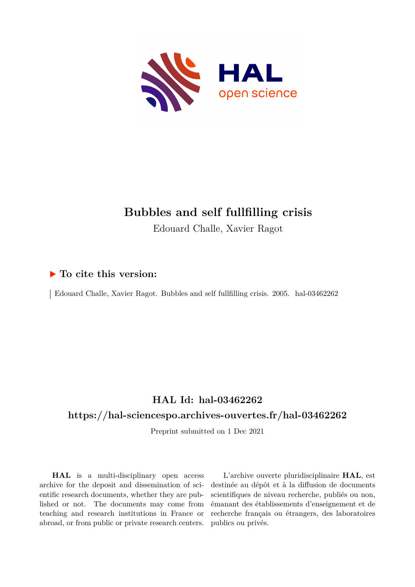

# **Bubbles and self fullfilling crisis**

Edouard Challe, Xavier Ragot

## **To cite this version:**

| Edouard Challe, Xavier Ragot. Bubbles and self fullfilling crisis. 2005. hal-03462262

# **HAL Id: hal-03462262**

### **<https://hal-sciencespo.archives-ouvertes.fr/hal-03462262>**

Preprint submitted on 1 Dec 2021

**HAL** is a multi-disciplinary open access archive for the deposit and dissemination of scientific research documents, whether they are published or not. The documents may come from teaching and research institutions in France or abroad, or from public or private research centers.

L'archive ouverte pluridisciplinaire **HAL**, est destinée au dépôt et à la diffusion de documents scientifiques de niveau recherche, publiés ou non, émanant des établissements d'enseignement et de recherche français ou étrangers, des laboratoires publics ou privés.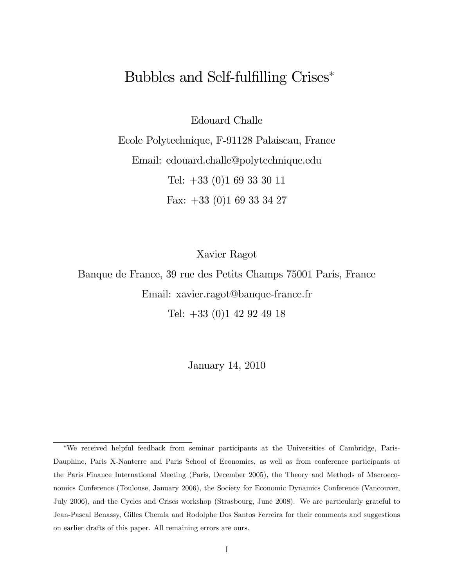# Bubbles and Self-fulfilling Crises\*

Edouard Challe

Ecole Polytechnique, F-91128 Palaiseau, France Email: edouard.challe@polytechnique.edu Tel: +33 (0)1 69 33 30 11 Fax: +33 (0)1 69 33 34 27

Xavier Ragot

Banque de France, 39 rue des Petits Champs 75001 Paris, France Email: xavier.ragot@banque-france.fr Tel: +33 (0)1 42 92 49 18

January 14, 2010

We received helpful feedback from seminar participants at the Universities of Cambridge, Paris-Dauphine, Paris X-Nanterre and Paris School of Economics, as well as from conference participants at the Paris Finance International Meeting (Paris, December 2005), the Theory and Methods of Macroeconomics Conference (Toulouse, January 2006), the Society for Economic Dynamics Conference (Vancouver, July 2006), and the Cycles and Crises workshop (Strasbourg, June 2008). We are particularly grateful to Jean-Pascal Benassy, Gilles Chemla and Rodolphe Dos Santos Ferreira for their comments and suggestions on earlier drafts of this paper. All remaining errors are ours.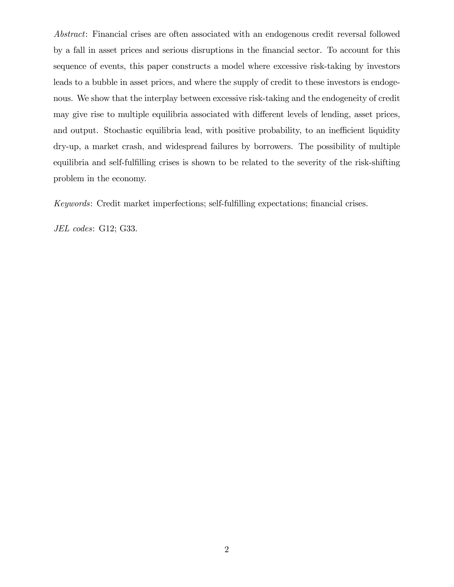Abstract: Financial crises are often associated with an endogenous credit reversal followed by a fall in asset prices and serious disruptions in the financial sector. To account for this sequence of events, this paper constructs a model where excessive risk-taking by investors leads to a bubble in asset prices, and where the supply of credit to these investors is endogenous. We show that the interplay between excessive risk-taking and the endogeneity of credit may give rise to multiple equilibria associated with different levels of lending, asset prices, and output. Stochastic equilibria lead, with positive probability, to an inefficient liquidity dry-up, a market crash, and widespread failures by borrowers. The possibility of multiple equilibria and self-fulfilling crises is shown to be related to the severity of the risk-shifting problem in the economy.

Keywords: Credit market imperfections; self-fulfilling expectations; financial crises.

JEL codes: G12; G33.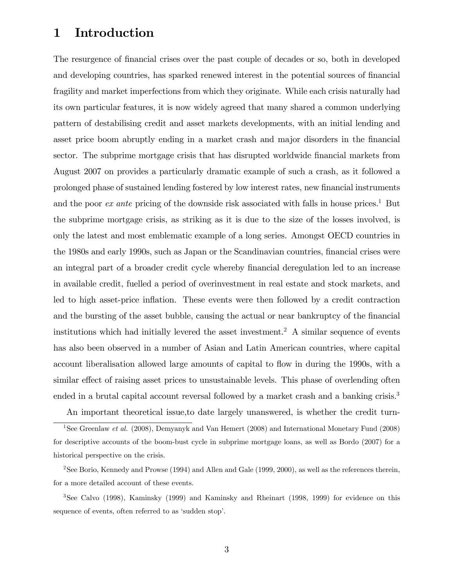## 1 Introduction

The resurgence of financial crises over the past couple of decades or so, both in developed and developing countries, has sparked renewed interest in the potential sources of financial fragility and market imperfections from which they originate. While each crisis naturally had its own particular features, it is now widely agreed that many shared a common underlying pattern of destabilising credit and asset markets developments, with an initial lending and asset price boom abruptly ending in a market crash and major disorders in the financial sector. The subprime mortgage crisis that has disrupted worldwide financial markets from August 2007 on provides a particularly dramatic example of such a crash, as it followed a prolonged phase of sustained lending fostered by low interest rates, new Önancial instruments and the poor ex ante pricing of the downside risk associated with falls in house prices.<sup>1</sup> But the subprime mortgage crisis, as striking as it is due to the size of the losses involved, is only the latest and most emblematic example of a long series. Amongst OECD countries in the 1980s and early 1990s, such as Japan or the Scandinavian countries, financial crises were an integral part of a broader credit cycle whereby Önancial deregulation led to an increase in available credit, fuelled a period of overinvestment in real estate and stock markets, and led to high asset-price inflation. These events were then followed by a credit contraction and the bursting of the asset bubble, causing the actual or near bankruptcy of the financial institutions which had initially levered the asset investment.<sup>2</sup> A similar sequence of events has also been observed in a number of Asian and Latin American countries, where capital account liberalisation allowed large amounts of capital to flow in during the 1990s, with a similar effect of raising asset prices to unsustainable levels. This phase of overlending often ended in a brutal capital account reversal followed by a market crash and a banking crisis.<sup>3</sup>

An important theoretical issue,to date largely unanswered, is whether the credit turn-

<sup>&</sup>lt;sup>1</sup>See Greenlaw *et al.* (2008), Demyanyk and Van Hemert (2008) and International Monetary Fund (2008) for descriptive accounts of the boom-bust cycle in subprime mortgage loans, as well as Bordo (2007) for a historical perspective on the crisis.

<sup>2</sup>See Borio, Kennedy and Prowse (1994) and Allen and Gale (1999, 2000), as well as the references therein, for a more detailed account of these events.

<sup>3</sup>See Calvo (1998), Kaminsky (1999) and Kaminsky and Rheinart (1998, 1999) for evidence on this sequence of events, often referred to as 'sudden stop'.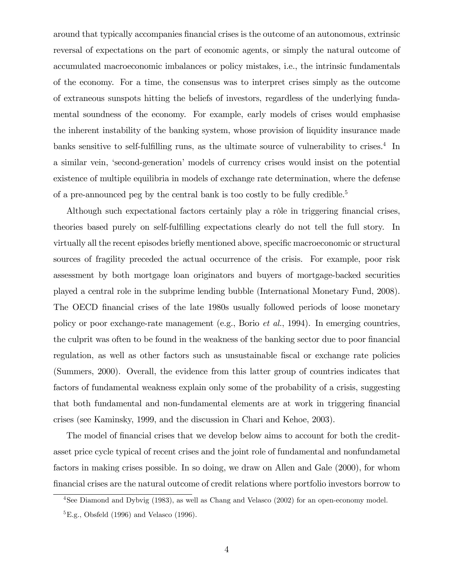around that typically accompanies financial crises is the outcome of an autonomous, extrinsic reversal of expectations on the part of economic agents, or simply the natural outcome of accumulated macroeconomic imbalances or policy mistakes, i.e., the intrinsic fundamentals of the economy. For a time, the consensus was to interpret crises simply as the outcome of extraneous sunspots hitting the beliefs of investors, regardless of the underlying fundamental soundness of the economy. For example, early models of crises would emphasise the inherent instability of the banking system, whose provision of liquidity insurance made banks sensitive to self-fulfilling runs, as the ultimate source of vulnerability to crises.<sup>4</sup> In a similar vein, 'second-generation' models of currency crises would insist on the potential existence of multiple equilibria in models of exchange rate determination, where the defense of a pre-announced peg by the central bank is too costly to be fully credible.<sup>5</sup>

Although such expectational factors certainly play a rôle in triggering financial crises, theories based purely on self-fulfilling expectations clearly do not tell the full story. In virtually all the recent episodes briefly mentioned above, specific macroeconomic or structural sources of fragility preceded the actual occurrence of the crisis. For example, poor risk assessment by both mortgage loan originators and buyers of mortgage-backed securities played a central role in the subprime lending bubble (International Monetary Fund, 2008). The OECD financial crises of the late 1980s usually followed periods of loose monetary policy or poor exchange-rate management (e.g., Borio et al., 1994). In emerging countries, the culprit was often to be found in the weakness of the banking sector due to poor financial regulation, as well as other factors such as unsustainable fiscal or exchange rate policies (Summers, 2000). Overall, the evidence from this latter group of countries indicates that factors of fundamental weakness explain only some of the probability of a crisis, suggesting that both fundamental and non-fundamental elements are at work in triggering financial crises (see Kaminsky, 1999, and the discussion in Chari and Kehoe, 2003).

The model of financial crises that we develop below aims to account for both the creditasset price cycle typical of recent crises and the joint role of fundamental and nonfundametal factors in making crises possible. In so doing, we draw on Allen and Gale (2000), for whom Önancial crises are the natural outcome of credit relations where portfolio investors borrow to

<sup>4</sup>See Diamond and Dybvig (1983), as well as Chang and Velasco (2002) for an open-economy model.

 ${}^{5}E.g.,$  Obsfeld (1996) and Velasco (1996).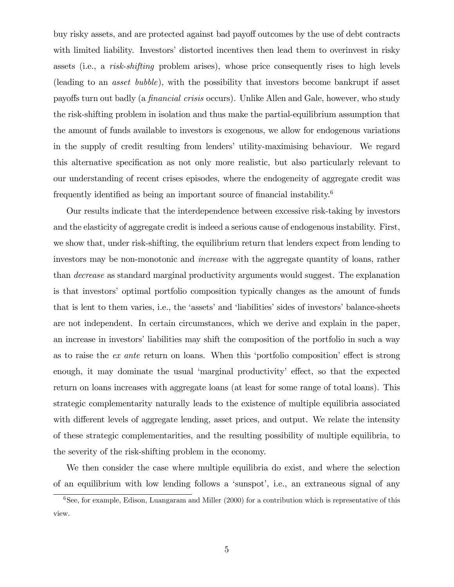buy risky assets, and are protected against bad payoff outcomes by the use of debt contracts with limited liability. Investors' distorted incentives then lead them to overinvest in risky assets (i.e., a risk-shifting problem arises), whose price consequently rises to high levels (leading to an asset bubble), with the possibility that investors become bankrupt if asset payoffs turn out badly (a *financial crisis* occurs). Unlike Allen and Gale, however, who study the risk-shifting problem in isolation and thus make the partial-equilibrium assumption that the amount of funds available to investors is exogenous, we allow for endogenous variations in the supply of credit resulting from lenders' utility-maximising behaviour. We regard this alternative specification as not only more realistic, but also particularly relevant to our understanding of recent crises episodes, where the endogeneity of aggregate credit was frequently identified as being an important source of financial instability.<sup>6</sup>

Our results indicate that the interdependence between excessive risk-taking by investors and the elasticity of aggregate credit is indeed a serious cause of endogenous instability. First, we show that, under risk-shifting, the equilibrium return that lenders expect from lending to investors may be non-monotonic and *increase* with the aggregate quantity of loans, rather than decrease as standard marginal productivity arguments would suggest. The explanation is that investors' optimal portfolio composition typically changes as the amount of funds that is lent to them varies, i.e., the 'assets' and 'liabilities' sides of investors' balance-sheets are not independent. In certain circumstances, which we derive and explain in the paper, an increase in investors' liabilities may shift the composition of the portfolio in such a way as to raise the  $ex$  ante return on loans. When this 'portfolio composition' effect is strong enough, it may dominate the usual 'marginal productivity' effect, so that the expected return on loans increases with aggregate loans (at least for some range of total loans). This strategic complementarity naturally leads to the existence of multiple equilibria associated with different levels of aggregate lending, asset prices, and output. We relate the intensity of these strategic complementarities, and the resulting possibility of multiple equilibria, to the severity of the risk-shifting problem in the economy.

We then consider the case where multiple equilibria do exist, and where the selection of an equilibrium with low lending follows a 'sunspot', i.e., an extraneous signal of any

 $6$ See, for example, Edison, Luangaram and Miller (2000) for a contribution which is representative of this view.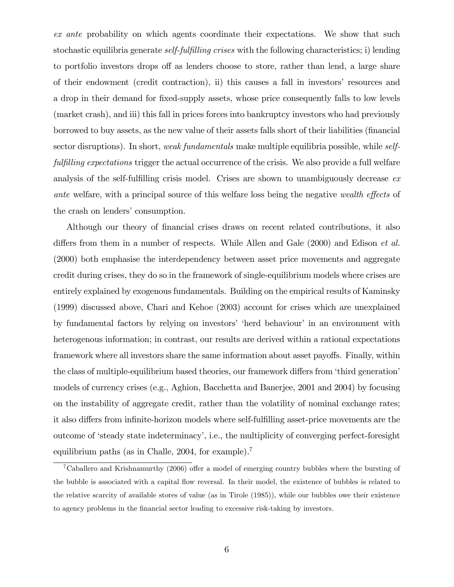ex ante probability on which agents coordinate their expectations. We show that such stochastic equilibria generate self-fulfilling crises with the following characteristics; i) lending to portfolio investors drops off as lenders choose to store, rather than lend, a large share of their endowment (credit contraction), ii) this causes a fall in investorsí resources and a drop in their demand for fixed-supply assets, whose price consequently falls to low levels (market crash), and iii) this fall in prices forces into bankruptcy investors who had previously borrowed to buy assets, as the new value of their assets falls short of their liabilities (Önancial sector disruptions). In short, weak fundamentals make multiple equilibria possible, while selffulfilling expectations trigger the actual occurrence of the crisis. We also provide a full welfare analysis of the self-fulfilling crisis model. Crises are shown to unambiguously decrease  $ex$ ante welfare, with a principal source of this welfare loss being the negative wealth effects of the crash on lenders' consumption.

Although our theory of financial crises draws on recent related contributions, it also differs from them in a number of respects. While Allen and Gale  $(2000)$  and Edison *et al.* (2000) both emphasise the interdependency between asset price movements and aggregate credit during crises, they do so in the framework of single-equilibrium models where crises are entirely explained by exogenous fundamentals. Building on the empirical results of Kaminsky (1999) discussed above, Chari and Kehoe (2003) account for crises which are unexplained by fundamental factors by relying on investors' 'herd behaviour' in an environment with heterogenous information; in contrast, our results are derived within a rational expectations framework where all investors share the same information about asset payoffs. Finally, within the class of multiple-equilibrium based theories, our framework differs from 'third generation' models of currency crises (e.g., Aghion, Bacchetta and Banerjee, 2001 and 2004) by focusing on the instability of aggregate credit, rather than the volatility of nominal exchange rates; it also differs from infinite-horizon models where self-fulfilling asset-price movements are the outcome of 'steady state indeterminacy', i.e., the multiplicity of converging perfect-foresight equilibrium paths (as in Challe, 2004, for example).<sup>7</sup>

<sup>&</sup>lt;sup>7</sup>Caballero and Krishnamurthy (2006) offer a model of emerging country bubbles where the bursting of the bubble is associated with a capital flow reversal. In their model, the existence of bubbles is related to the relative scarcity of available stores of value (as in Tirole (1985)), while our bubbles owe their existence to agency problems in the Önancial sector leading to excessive risk-taking by investors.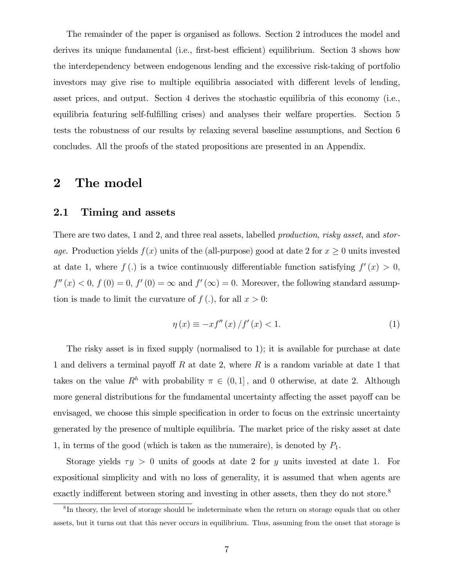The remainder of the paper is organised as follows. Section 2 introduces the model and derives its unique fundamental (i.e., first-best efficient) equilibrium. Section 3 shows how the interdependency between endogenous lending and the excessive risk-taking of portfolio investors may give rise to multiple equilibria associated with different levels of lending, asset prices, and output. Section 4 derives the stochastic equilibria of this economy (i.e., equilibria featuring self-fulfilling crises) and analyses their welfare properties. Section 5 tests the robustness of our results by relaxing several baseline assumptions, and Section 6 concludes. All the proofs of the stated propositions are presented in an Appendix.

### 2 The model

#### 2.1 Timing and assets

There are two dates, 1 and 2, and three real assets, labelled *production, risky asset*, and *stor*age. Production yields  $f(x)$  units of the (all-purpose) good at date 2 for  $x \ge 0$  units invested at date 1, where  $f(.)$  is a twice continuously differentiable function satisfying  $f'(x) > 0$ ,  $f''(x) < 0$ ,  $f(0) = 0$ ,  $f'(0) = \infty$  and  $f'(\infty) = 0$ . Moreover, the following standard assumption is made to limit the curvature of  $f(.)$ , for all  $x > 0$ :

$$
\eta(x) \equiv -xf''(x) / f'(x) < 1.
$$
\n<sup>(1)</sup>

The risky asset is in fixed supply (normalised to 1); it is available for purchase at date 1 and delivers a terminal payoff R at date 2, where R is a random variable at date 1 that takes on the value  $R^h$  with probability  $\pi \in (0, 1]$ , and 0 otherwise, at date 2. Although more general distributions for the fundamental uncertainty affecting the asset payoff can be envisaged, we choose this simple specification in order to focus on the extrinsic uncertainty generated by the presence of multiple equilibria. The market price of the risky asset at date 1, in terms of the good (which is taken as the numeraire), is denoted by  $P_1$ .

Storage yields  $\tau y > 0$  units of goods at date 2 for y units invested at date 1. For expositional simplicity and with no loss of generality, it is assumed that when agents are exactly indifferent between storing and investing in other assets, then they do not store.<sup>8</sup>

<sup>&</sup>lt;sup>8</sup>In theory, the level of storage should be indeterminate when the return on storage equals that on other assets, but it turns out that this never occurs in equilibrium. Thus, assuming from the onset that storage is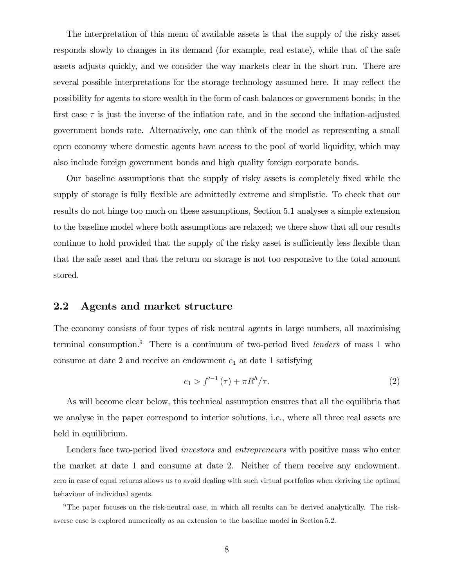The interpretation of this menu of available assets is that the supply of the risky asset responds slowly to changes in its demand (for example, real estate), while that of the safe assets adjusts quickly, and we consider the way markets clear in the short run. There are several possible interpretations for the storage technology assumed here. It may reflect the possibility for agents to store wealth in the form of cash balances or government bonds; in the first case  $\tau$  is just the inverse of the inflation rate, and in the second the inflation-adjusted government bonds rate. Alternatively, one can think of the model as representing a small open economy where domestic agents have access to the pool of world liquidity, which may also include foreign government bonds and high quality foreign corporate bonds.

Our baseline assumptions that the supply of risky assets is completely fixed while the supply of storage is fully flexible are admittedly extreme and simplistic. To check that our results do not hinge too much on these assumptions, Section 5.1 analyses a simple extension to the baseline model where both assumptions are relaxed; we there show that all our results continue to hold provided that the supply of the risky asset is sufficiently less flexible than that the safe asset and that the return on storage is not too responsive to the total amount stored.

#### 2.2 Agents and market structure

The economy consists of four types of risk neutral agents in large numbers, all maximising terminal consumption.<sup>9</sup> There is a continuum of two-period lived *lenders* of mass 1 who consume at date 2 and receive an endowment  $e_1$  at date 1 satisfying

$$
e_1 > f'^{-1}(\tau) + \pi R^h / \tau.
$$
 (2)

As will become clear below, this technical assumption ensures that all the equilibria that we analyse in the paper correspond to interior solutions, i.e., where all three real assets are held in equilibrium.

Lenders face two-period lived *investors* and *entrepreneurs* with positive mass who enter the market at date 1 and consume at date 2. Neither of them receive any endowment. zero in case of equal returns allows us to avoid dealing with such virtual portfolios when deriving the optimal behaviour of individual agents.

<sup>9</sup>The paper focuses on the risk-neutral case, in which all results can be derived analytically. The riskaverse case is explored numerically as an extension to the baseline model in Section 5.2.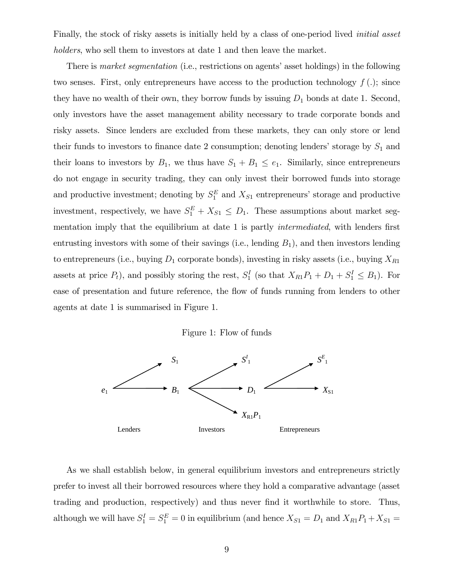Finally, the stock of risky assets is initially held by a class of one-period lived initial asset holders, who sell them to investors at date 1 and then leave the market.

There is *market segmentation* (i.e., restrictions on agents' asset holdings) in the following two senses. First, only entrepreneurs have access to the production technology  $f(.)$ ; since they have no wealth of their own, they borrow funds by issuing  $D_1$  bonds at date 1. Second, only investors have the asset management ability necessary to trade corporate bonds and risky assets. Since lenders are excluded from these markets, they can only store or lend their funds to investors to finance date 2 consumption; denoting lenders' storage by  $S_1$  and their loans to investors by  $B_1$ , we thus have  $S_1 + B_1 \le e_1$ . Similarly, since entrepreneurs do not engage in security trading, they can only invest their borrowed funds into storage and productive investment; denoting by  $S_1^E$  and  $X_{S1}$  entrepreneurs' storage and productive investment, respectively, we have  $S_1^E + X_{S1} \leq D_1$ . These assumptions about market segmentation imply that the equilibrium at date 1 is partly *intermediated*, with lenders first entrusting investors with some of their savings (i.e., lending  $B_1$ ), and then investors lending to entrepreneurs (i.e., buying  $D_1$  corporate bonds), investing in risky assets (i.e., buying  $X_{R1}$ assets at price  $P_t$ ), and possibly storing the rest,  $S_1^I$  (so that  $X_{R1}P_1 + D_1 + S_1^I \leq B_1$ ). For ease of presentation and future reference, the flow of funds running from lenders to other agents at date 1 is summarised in Figure 1.

Figure 1: Flow of funds



As we shall establish below, in general equilibrium investors and entrepreneurs strictly prefer to invest all their borrowed resources where they hold a comparative advantage (asset trading and production, respectively) and thus never find it worthwhile to store. Thus, although we will have  $S_1^I = S_1^E = 0$  in equilibrium (and hence  $X_{S_1} = D_1$  and  $X_{R_1}P_1 + X_{S_1} =$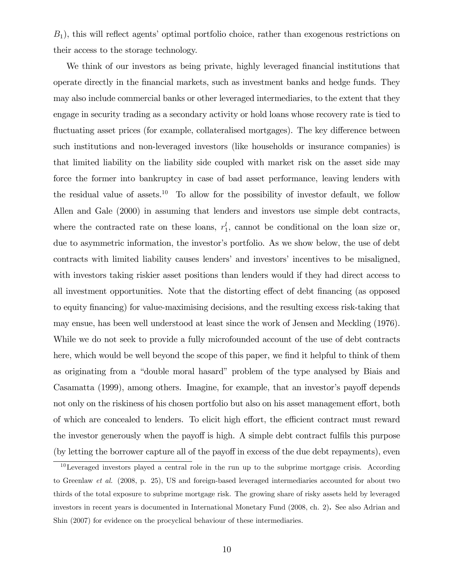$B_1$ , this will reflect agents' optimal portfolio choice, rather than exogenous restrictions on their access to the storage technology.

We think of our investors as being private, highly leveraged financial institutions that operate directly in the Önancial markets, such as investment banks and hedge funds. They may also include commercial banks or other leveraged intermediaries, to the extent that they engage in security trading as a secondary activity or hold loans whose recovery rate is tied to fluctuating asset prices (for example, collateralised mortgages). The key difference between such institutions and non-leveraged investors (like households or insurance companies) is that limited liability on the liability side coupled with market risk on the asset side may force the former into bankruptcy in case of bad asset performance, leaving lenders with the residual value of assets.<sup>10</sup> To allow for the possibility of investor default, we follow Allen and Gale (2000) in assuming that lenders and investors use simple debt contracts, where the contracted rate on these loans,  $r_1^l$ , cannot be conditional on the loan size or, due to asymmetric information, the investor's portfolio. As we show below, the use of debt contracts with limited liability causes lenders' and investors' incentives to be misaligned, with investors taking riskier asset positions than lenders would if they had direct access to all investment opportunities. Note that the distorting effect of debt financing (as opposed to equity Önancing) for value-maximising decisions, and the resulting excess risk-taking that may ensue, has been well understood at least since the work of Jensen and Meckling (1976). While we do not seek to provide a fully microfounded account of the use of debt contracts here, which would be well beyond the scope of this paper, we find it helpful to think of them as originating from a "double moral hasard" problem of the type analysed by Biais and Casamatta (1999), among others. Imagine, for example, that an investor's payoff depends not only on the riskiness of his chosen portfolio but also on his asset management effort, both of which are concealed to lenders. To elicit high effort, the efficient contract must reward the investor generously when the payoff is high. A simple debt contract fulfils this purpose (by letting the borrower capture all of the payoff in excess of the due debt repayments), even

<sup>10</sup>Leveraged investors played a central role in the run up to the subprime mortgage crisis. According to Greenlaw et al. (2008, p. 25), US and foreign-based leveraged intermediaries accounted for about two thirds of the total exposure to subprime mortgage risk. The growing share of risky assets held by leveraged investors in recent years is documented in International Monetary Fund (2008, ch. 2). See also Adrian and Shin (2007) for evidence on the procyclical behaviour of these intermediaries.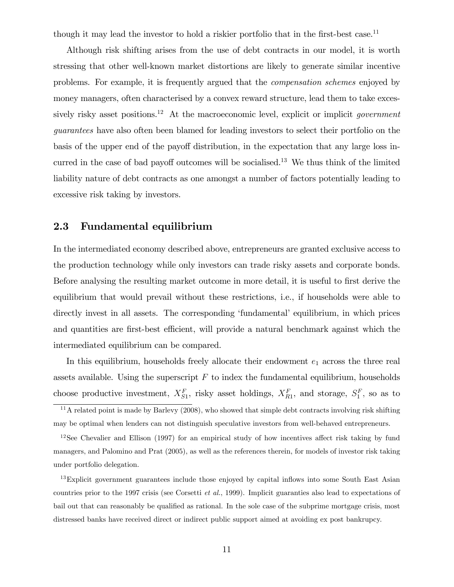though it may lead the investor to hold a riskier portfolio that in the first-best case.<sup>11</sup>

Although risk shifting arises from the use of debt contracts in our model, it is worth stressing that other well-known market distortions are likely to generate similar incentive problems. For example, it is frequently argued that the compensation schemes enjoyed by money managers, often characterised by a convex reward structure, lead them to take excessively risky asset positions.<sup>12</sup> At the macroeconomic level, explicit or implicit *government* guarantees have also often been blamed for leading investors to select their portfolio on the basis of the upper end of the payoff distribution, in the expectation that any large loss incurred in the case of bad payoff outcomes will be socialised.<sup>13</sup> We thus think of the limited liability nature of debt contracts as one amongst a number of factors potentially leading to excessive risk taking by investors.

### 2.3 Fundamental equilibrium

In the intermediated economy described above, entrepreneurs are granted exclusive access to the production technology while only investors can trade risky assets and corporate bonds. Before analysing the resulting market outcome in more detail, it is useful to first derive the equilibrium that would prevail without these restrictions, i.e., if households were able to directly invest in all assets. The corresponding 'fundamental' equilibrium, in which prices and quantities are first-best efficient, will provide a natural benchmark against which the intermediated equilibrium can be compared.

In this equilibrium, households freely allocate their endowment  $e_1$  across the three real assets available. Using the superscript  $F$  to index the fundamental equilibrium, households choose productive investment,  $X_{S1}^F$ , risky asset holdings,  $X_{R1}^F$ , and storage,  $S_1^F$ , so as to

 $12$ See Chevalier and Ellison (1997) for an empirical study of how incentives affect risk taking by fund managers, and Palomino and Prat (2005), as well as the references therein, for models of investor risk taking under portfolio delegation.

<sup>13</sup>Explicit government guarantees include those enjoyed by capital inflows into some South East Asian countries prior to the 1997 crisis (see Corsetti et al., 1999). Implicit guaranties also lead to expectations of bail out that can reasonably be qualified as rational. In the sole case of the subprime mortgage crisis, most distressed banks have received direct or indirect public support aimed at avoiding ex post bankrupcy.

 $11A$  related point is made by Barlevy (2008), who showed that simple debt contracts involving risk shifting may be optimal when lenders can not distinguish speculative investors from well-behaved entrepreneurs.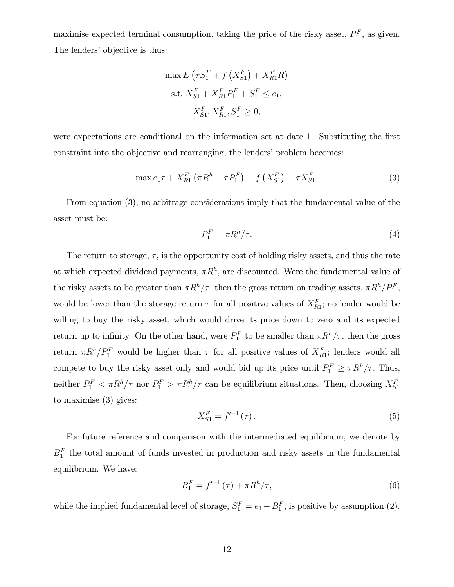maximise expected terminal consumption, taking the price of the risky asset,  $P_1^F$ , as given. The lenders' objective is thus:

$$
\max E \left( \tau S_1^F + f \left( X_{S1}^F \right) + X_{R1}^F R \right)
$$
  
s.t.  $X_{S1}^F + X_{R1}^F P_1^F + S_1^F \le e_1$ ,  
 $X_{S1}^F, X_{R1}^F, S_1^F \ge 0$ ,

were expectations are conditional on the information set at date 1. Substituting the first constraint into the objective and rearranging, the lenders' problem becomes:

$$
\max e_1 \tau + X_{R1}^F \left( \pi R^h - \tau P_1^F \right) + f \left( X_{S1}^F \right) - \tau X_{S1}^F. \tag{3}
$$

From equation (3), no-arbitrage considerations imply that the fundamental value of the asset must be:

$$
P_1^F = \pi R^h / \tau. \tag{4}
$$

The return to storage,  $\tau$ , is the opportunity cost of holding risky assets, and thus the rate at which expected dividend payments,  $\pi R^h$ , are discounted. Were the fundamental value of the risky assets to be greater than  $\pi R^h/\tau$ , then the gross return on trading assets,  $\pi R^h/P_1^F$ , would be lower than the storage return  $\tau$  for all positive values of  $X_{R1}^F$ ; no lender would be willing to buy the risky asset, which would drive its price down to zero and its expected return up to infinity. On the other hand, were  $P_1^F$  to be smaller than  $\pi R^h/\tau$ , then the gross return  $\pi R^{h}/P_{1}^{F}$  would be higher than  $\tau$  for all positive values of  $X_{R1}^{F}$ ; lenders would all compete to buy the risky asset only and would bid up its price until  $P_1^F \geq \pi R^h / \tau$ . Thus, neither  $P_1^F < \pi R^h/\tau$  nor  $P_1^F > \pi R^h/\tau$  can be equilibrium situations. Then, choosing  $X_{S_1}^F$ to maximise (3) gives:

$$
X_{S1}^F = f'^{-1}(\tau). \tag{5}
$$

For future reference and comparison with the intermediated equilibrium, we denote by  $B_1^F$  the total amount of funds invested in production and risky assets in the fundamental equilibrium. We have:

$$
B_1^F = f'^{-1}(\tau) + \pi R^h / \tau,
$$
\n(6)

while the implied fundamental level of storage,  $S_1^F = e_1 - B_1^F$ , is positive by assumption (2).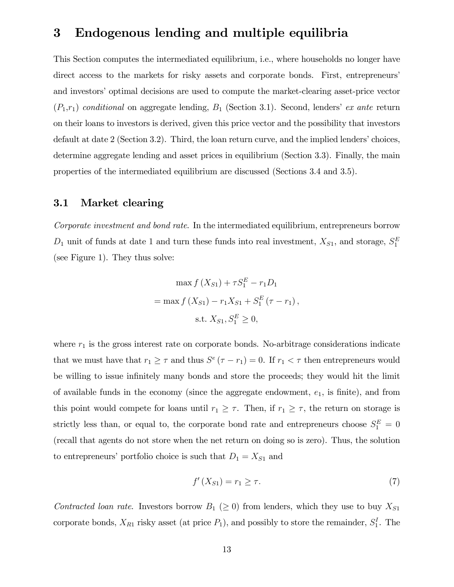# 3 Endogenous lending and multiple equilibria

This Section computes the intermediated equilibrium, i.e., where households no longer have direct access to the markets for risky assets and corporate bonds. First, entrepreneurs and investors' optimal decisions are used to compute the market-clearing asset-price vector  $(P_1,r_1)$  conditional on aggregate lending,  $B_1$  (Section 3.1). Second, lenders' ex ante return on their loans to investors is derived, given this price vector and the possibility that investors default at date  $2$  (Section 3.2). Third, the loan return curve, and the implied lenders' choices, determine aggregate lending and asset prices in equilibrium (Section 3.3). Finally, the main properties of the intermediated equilibrium are discussed (Sections 3.4 and 3.5).

#### 3.1 Market clearing

Corporate investment and bond rate. In the intermediated equilibrium, entrepreneurs borrow  $D_1$  unit of funds at date 1 and turn these funds into real investment,  $X_{S1}$ , and storage,  $S_1^E$ (see Figure 1). They thus solve:

$$
\max f(X_{S1}) + \tau S_1^E - r_1 D_1
$$
  
= 
$$
\max f(X_{S1}) - r_1 X_{S1} + S_1^E(\tau - r_1),
$$
  
s.t. 
$$
X_{S1}, S_1^E \ge 0,
$$

where  $r_1$  is the gross interest rate on corporate bonds. No-arbitrage considerations indicate that we must have that  $r_1 \geq \tau$  and thus  $S^e(\tau - r_1) = 0$ . If  $r_1 < \tau$  then entrepreneurs would be willing to issue infinitely many bonds and store the proceeds; they would hit the limit of available funds in the economy (since the aggregate endowment,  $e_1$ , is finite), and from this point would compete for loans until  $r_1 \geq \tau$ . Then, if  $r_1 \geq \tau$ , the return on storage is strictly less than, or equal to, the corporate bond rate and entrepreneurs choose  $S_1^E = 0$ (recall that agents do not store when the net return on doing so is zero). Thus, the solution to entrepreneurs' portfolio choice is such that  $D_1 = X_{S1}$  and

$$
f'(X_{S1}) = r_1 \ge \tau. \tag{7}
$$

Contracted loan rate. Investors borrow  $B_1$  ( $\geq 0$ ) from lenders, which they use to buy  $X_{S1}$ corporate bonds,  $X_{R1}$  risky asset (at price  $P_1$ ), and possibly to store the remainder,  $S_1^I$ . The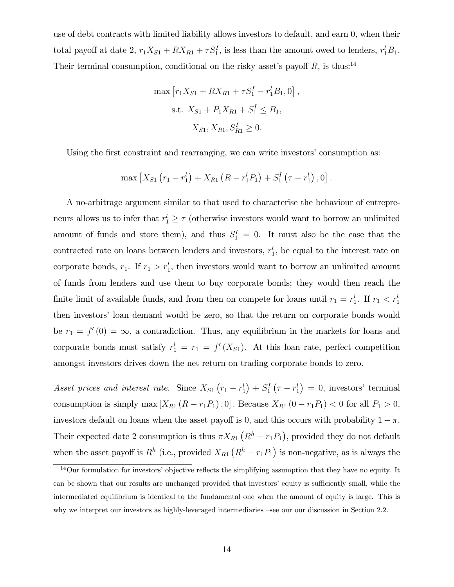use of debt contracts with limited liability allows investors to default, and earn 0, when their total payoff at date 2,  $r_1X_{S1} + RX_{R1} + \tau S_1^I$ , is less than the amount owed to lenders,  $r_1^lB_1$ . Their terminal consumption, conditional on the risky asset's payoff  $R$ , is thus:<sup>14</sup>

$$
\max [r_1 X_{S1} + RX_{R1} + \tau S_1^I - r_1^l B_1, 0],
$$
  
s.t.  $X_{S1} + P_1 X_{R1} + S_1^I \le B_1,$   
 $X_{S1}, X_{R1}, S_{R1}^I \ge 0.$ 

Using the first constraint and rearranging, we can write investors' consumption as:

$$
\max [X_{S1}(r_1 - r_1^l) + X_{R1}(R - r_1^l P_1) + S_1^I(\tau - r_1^l), 0].
$$

A no-arbitrage argument similar to that used to characterise the behaviour of entrepreneurs allows us to infer that  $r_1^l \geq \tau$  (otherwise investors would want to borrow an unlimited amount of funds and store them), and thus  $S_1^I = 0$ . It must also be the case that the contracted rate on loans between lenders and investors,  $r_1^l$ , be equal to the interest rate on corporate bonds,  $r_1$ . If  $r_1 > r_1^l$ , then investors would want to borrow an unlimited amount of funds from lenders and use them to buy corporate bonds; they would then reach the finite limit of available funds, and from then on compete for loans until  $r_1 = r_1^l$ . If  $r_1 < r_1^l$ then investors' loan demand would be zero, so that the return on corporate bonds would be  $r_1 = f'(0) = \infty$ , a contradiction. Thus, any equilibrium in the markets for loans and corporate bonds must satisfy  $r_1^l = r_1 = f'(X_{S1})$ . At this loan rate, perfect competition amongst investors drives down the net return on trading corporate bonds to zero.

Asset prices and interest rate. Since  $X_{S1}(r_1 - r_1^l) + S_1^I(\tau - r_1^l) = 0$ , investors' terminal consumption is simply  $\max\left[X_{R1} (R - r_1 P_1), 0\right]$ . Because  $X_{R1} (0 - r_1 P_1) < 0$  for all  $P_1 > 0$ , investors default on loans when the asset payoff is 0, and this occurs with probability  $1 - \pi$ . Their expected date 2 consumption is thus  $\pi X_{R1} (R^h - r_1 P_1)$ , provided they do not default when the asset payoff is  $R^h$  (i.e., provided  $X_{R1}$   $(R^h - r_1P_1)$  is non-negative, as is always the

 $14$ Our formulation for investors' objective reflects the simplifying assumption that they have no equity. It can be shown that our results are unchanged provided that investors' equity is sufficiently small, while the intermediated equilibrium is identical to the fundamental one when the amount of equity is large. This is why we interpret our investors as highly-leveraged intermediaries –see our our discussion in Section 2.2.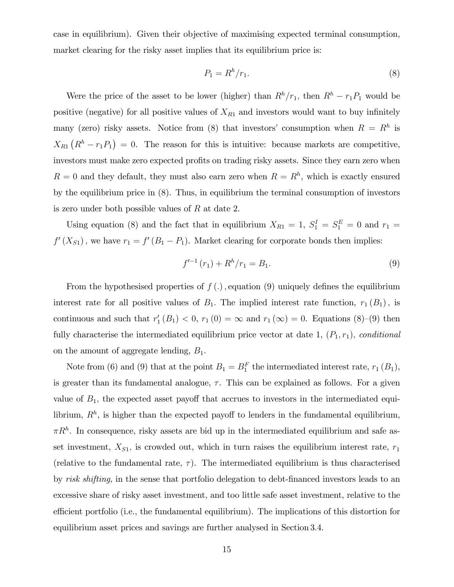case in equilibrium). Given their objective of maximising expected terminal consumption, market clearing for the risky asset implies that its equilibrium price is:

$$
P_1 = R^h / r_1. \tag{8}
$$

Were the price of the asset to be lower (higher) than  $R^h/r_1$ , then  $R^h-r_1P_1$  would be positive (negative) for all positive values of  $X_{R1}$  and investors would want to buy infinitely many (zero) risky assets. Notice from (8) that investors' consumption when  $R = R<sup>h</sup>$  is  $X_{R1}$   $(R<sup>h</sup> - r<sub>1</sub>P<sub>1</sub>) = 0$ . The reason for this is intuitive: because markets are competitive, investors must make zero expected profits on trading risky assets. Since they earn zero when  $R = 0$  and they default, they must also earn zero when  $R = R<sup>h</sup>$ , which is exactly ensured by the equilibrium price in (8). Thus, in equilibrium the terminal consumption of investors is zero under both possible values of R at date 2.

Using equation (8) and the fact that in equilibrium  $X_{R1} = 1$ ,  $S_1^I = S_1^E = 0$  and  $r_1 =$  $f'(X_{S1})$ , we have  $r_1 = f'(B_1 - P_1)$ . Market clearing for corporate bonds then implies:

$$
f'^{-1}(r_1) + R^h/r_1 = B_1.
$$
\n(9)

From the hypothesised properties of  $f(.)$ , equation (9) uniquely defines the equilibrium interest rate for all positive values of  $B_1$ . The implied interest rate function,  $r_1 (B_1)$ , is continuous and such that  $r'_1(B_1) < 0$ ,  $r_1(0) = \infty$  and  $r_1(\infty) = 0$ . Equations (8)–(9) then fully characterise the intermediated equilibrium price vector at date 1,  $(P_1, r_1)$ , conditional on the amount of aggregate lending,  $B_1$ .

Note from (6) and (9) that at the point  $B_1 = B_1^F$  the intermediated interest rate,  $r_1(B_1)$ , is greater than its fundamental analogue,  $\tau$ . This can be explained as follows. For a given value of  $B_1$ , the expected asset payoff that accrues to investors in the intermediated equilibrium,  $R<sup>h</sup>$ , is higher than the expected payoff to lenders in the fundamental equilibrium,  $\pi R^{h}$ . In consequence, risky assets are bid up in the intermediated equilibrium and safe asset investment,  $X_{S1}$ , is crowded out, which in turn raises the equilibrium interest rate,  $r_1$ (relative to the fundamental rate,  $\tau$ ). The intermediated equilibrium is thus characterised by risk shifting, in the sense that portfolio delegation to debt-financed investors leads to an excessive share of risky asset investment, and too little safe asset investment, relative to the efficient portfolio (i.e., the fundamental equilibrium). The implications of this distortion for equilibrium asset prices and savings are further analysed in Section 3.4.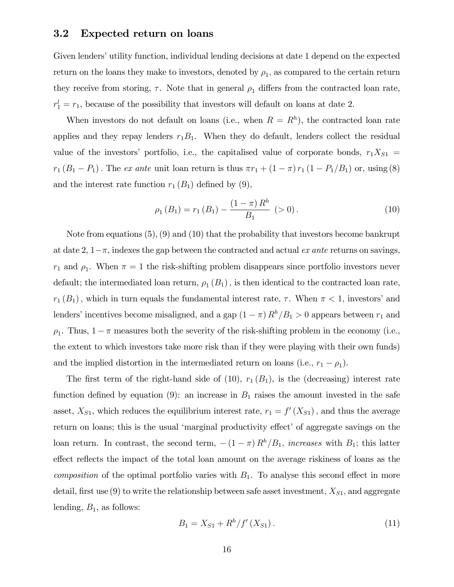#### 3.2 Expected return on loans

Given lenders' utility function, individual lending decisions at date 1 depend on the expected return on the loans they make to investors, denoted by  $\rho_1$ , as compared to the certain return they receive from storing,  $\tau$ . Note that in general  $\rho_1$  differs from the contracted loan rate,  $r_1^l = r_1$ , because of the possibility that investors will default on loans at date 2.

When investors do not default on loans (i.e., when  $R = R<sup>h</sup>$ ), the contracted loan rate applies and they repay lenders  $r_1B_1$ . When they do default, lenders collect the residual value of the investors' portfolio, i.e., the capitalised value of corporate bonds,  $r_1X_{S1}$  =  $r_1 (B_1 - P_1)$ . The ex ante unit loan return is thus  $\pi r_1 + (1 - \pi) r_1 (1 - P_1/B_1)$  or, using (8) and the interest rate function  $r_1(B_1)$  defined by (9),

$$
\rho_1(B_1) = r_1(B_1) - \frac{(1 - \pi) R^h}{B_1} \quad (> 0).
$$
\n(10)

Note from equations (5), (9) and (10) that the probability that investors become bankrupt at date 2,  $1-\pi$ , indexes the gap between the contracted and actual ex ante returns on savings,  $r_1$  and  $\rho_1$ . When  $\pi = 1$  the risk-shifting problem disappears since portfolio investors never default; the intermediated loan return,  $\rho_1(B_1)$ , is then identical to the contracted loan rate,  $r_1(B_1)$ , which in turn equals the fundamental interest rate,  $\tau$ . When  $\pi < 1$ , investors' and lenders' incentives become misaligned, and a gap  $(1 - \pi) R^h/B_1 > 0$  appears between  $r_1$  and  $\rho_1$ . Thus,  $1 - \pi$  measures both the severity of the risk-shifting problem in the economy (i.e., the extent to which investors take more risk than if they were playing with their own funds) and the implied distortion in the intermediated return on loans (i.e.,  $r_1 - \rho_1$ ).

The first term of the right-hand side of  $(10)$ ,  $r_1(B_1)$ , is the (decreasing) interest rate function defined by equation (9): an increase in  $B_1$  raises the amount invested in the safe asset,  $X_{S1}$ , which reduces the equilibrium interest rate,  $r_1 = f'(X_{S1})$ , and thus the average return on loans; this is the usual 'marginal productivity effect' of aggregate savings on the loan return. In contrast, the second term,  $-(1 - \pi) R^{h}/B_1$ , increases with B<sub>1</sub>; this latter effect reflects the impact of the total loan amount on the average riskiness of loans as the composition of the optimal portfolio varies with  $B_1$ . To analyse this second effect in more detail, first use  $(9)$  to write the relationship between safe asset investment,  $X_{S1}$ , and aggregate lending,  $B_1$ , as follows:

$$
B_1 = X_{S1} + R^h / f'(X_{S1}). \tag{11}
$$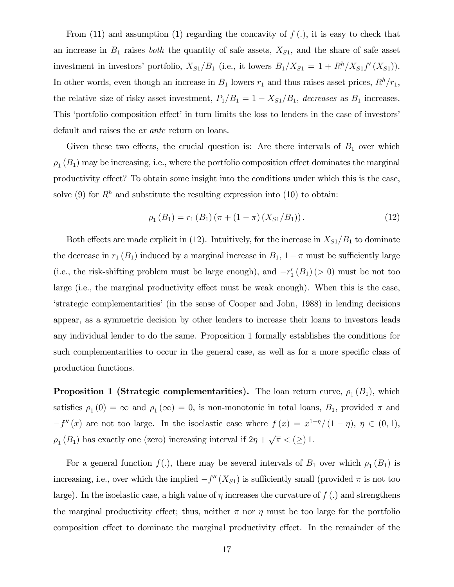From (11) and assumption (1) regarding the concavity of  $f(.)$ , it is easy to check that an increase in  $B_1$  raises *both* the quantity of safe assets,  $X_{S1}$ , and the share of safe asset investment in investors' portfolio,  $X_{S1}/B_1$  (i.e., it lowers  $B_1/X_{S1} = 1 + R^h/X_{S1}f'(X_{S1})$ ). In other words, even though an increase in  $B_1$  lowers  $r_1$  and thus raises asset prices,  $R^h/r_1$ , the relative size of risky asset investment,  $P_1/B_1 = 1 - X_{S1}/B_1$ , decreases as  $B_1$  increases. This 'portfolio composition effect' in turn limits the loss to lenders in the case of investors' default and raises the ex ante return on loans.

Given these two effects, the crucial question is: Are there intervals of  $B_1$  over which  $\rho_1(B_1)$  may be increasing, i.e., where the portfolio composition effect dominates the marginal productivity effect? To obtain some insight into the conditions under which this is the case, solve (9) for  $R<sup>h</sup>$  and substitute the resulting expression into (10) to obtain:

$$
\rho_1(B_1) = r_1(B_1) (\pi + (1 - \pi) (X_{S1}/B_1)). \tag{12}
$$

Both effects are made explicit in (12). Intuitively, for the increase in  $X_{S1}/B_1$  to dominate the decrease in  $r_1 (B_1)$  induced by a marginal increase in  $B_1$ ,  $1 - \pi$  must be sufficiently large (i.e., the risk-shifting problem must be large enough), and  $-r'_1(B_1)$  ( $> 0$ ) must be not too large (i.e., the marginal productivity effect must be weak enough). When this is the case, ëstrategic complementaritiesí (in the sense of Cooper and John, 1988) in lending decisions appear, as a symmetric decision by other lenders to increase their loans to investors leads any individual lender to do the same. Proposition 1 formally establishes the conditions for such complementarities to occur in the general case, as well as for a more specific class of production functions.

**Proposition 1 (Strategic complementarities).** The loan return curve,  $\rho_1(B_1)$ , which satisfies  $\rho_1(0) = \infty$  and  $\rho_1(\infty) = 0$ , is non-monotonic in total loans,  $B_1$ , provided  $\pi$  and  $-f''(x)$  are not too large. In the isoelastic case where  $f(x) = x^{1-\eta}/(1-\eta)$ ,  $\eta \in (0,1)$ ,  $\rho_1(B_1)$  has exactly one (zero) increasing interval if  $2\eta + \sqrt{\pi} < (\geq) 1$ .

For a general function  $f(.)$ , there may be several intervals of  $B_1$  over which  $\rho_1(B_1)$  is increasing, i.e., over which the implied  $-f''(X_{S1})$  is sufficiently small (provided  $\pi$  is not too large). In the isoelastic case, a high value of  $\eta$  increases the curvature of  $f(.)$  and strengthens the marginal productivity effect; thus, neither  $\pi$  nor  $\eta$  must be too large for the portfolio composition effect to dominate the marginal productivity effect. In the remainder of the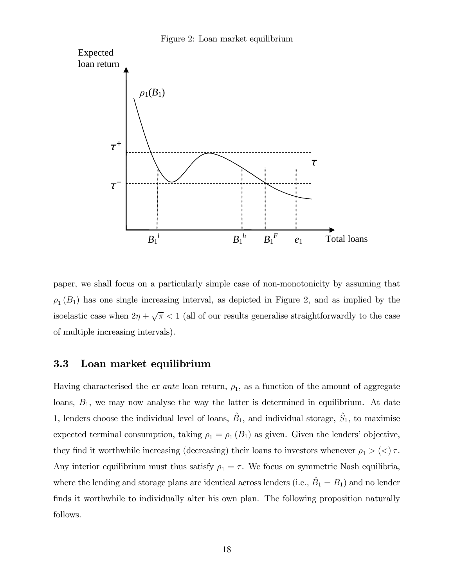



paper, we shall focus on a particularly simple case of non-monotonicity by assuming that  $\rho_1(B_1)$  has one single increasing interval, as depicted in Figure 2, and as implied by the isoelastic case when  $2\eta + \sqrt{\pi} < 1$  (all of our results generalise straightforwardly to the case of multiple increasing intervals).

### 3.3 Loan market equilibrium

Having characterised the *ex ante* loan return,  $\rho_1$ , as a function of the amount of aggregate loans,  $B_1$ , we may now analyse the way the latter is determined in equilibrium. At date 1, lenders choose the individual level of loans,  $\hat{B}_1$ , and individual storage,  $\hat{S}_1$ , to maximise expected terminal consumption, taking  $\rho_1 = \rho_1(B_1)$  as given. Given the lenders' objective, they find it worthwhile increasing (decreasing) their loans to investors whenever  $\rho_1 > (<) \tau$ . Any interior equilibrium must thus satisfy  $\rho_1 = \tau$ . We focus on symmetric Nash equilibria, where the lending and storage plans are identical across lenders (i.e.,  $\hat{B}_1 = B_1$ ) and no lender finds it worthwhile to individually alter his own plan. The following proposition naturally follows.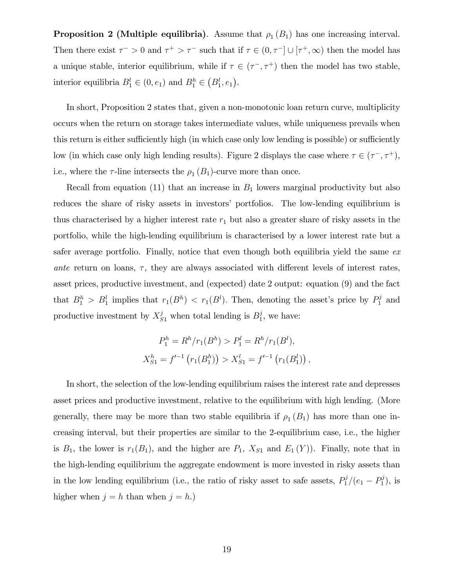**Proposition 2 (Multiple equilibria)**. Assume that  $\rho_1(B_1)$  has one increasing interval. Then there exist  $\tau^{-} > 0$  and  $\tau^{+} > \tau^{-}$  such that if  $\tau \in (0, \tau^{-}] \cup [\tau^{+}, \infty)$  then the model has a unique stable, interior equilibrium, while if  $\tau \in (\tau^-, \tau^+)$  then the model has two stable, interior equilibria  $B_1^l \in (0, e_1)$  and  $B_1^h \in (B_1^l, e_1)$ .

In short, Proposition 2 states that, given a non-monotonic loan return curve, multiplicity occurs when the return on storage takes intermediate values, while uniqueness prevails when this return is either sufficiently high (in which case only low lending is possible) or sufficiently low (in which case only high lending results). Figure 2 displays the case where  $\tau \in (\tau^-, \tau^+)$ , i.e., where the  $\tau$ -line intersects the  $\rho_1(B_1)$ -curve more than once.

Recall from equation (11) that an increase in  $B_1$  lowers marginal productivity but also reduces the share of risky assets in investors' portfolios. The low-lending equilibrium is thus characterised by a higher interest rate  $r_1$  but also a greater share of risky assets in the portfolio, while the high-lending equilibrium is characterised by a lower interest rate but a safer average portfolio. Finally, notice that even though both equilibria yield the same  $ex$ ante return on loans,  $\tau$ , they are always associated with different levels of interest rates, asset prices, productive investment, and (expected) date 2 output: equation (9) and the fact that  $B_1^h > B_1^l$  implies that  $r_1(B^h) < r_1(B^l)$ . Then, denoting the asset's price by  $P_1^j$  and productive investment by  $X_{S1}^j$  when total lending is  $B_1^j$  $_1^j$ , we have:

$$
P_1^h = R^h / r_1(B^h) > P_1^l = R^h / r_1(B^l),
$$
  
\n
$$
X_{S1}^h = f'^{-1} (r_1(B_1^h)) > X_{S1}^l = f'^{-1} (r_1(B_1^l)),
$$

In short, the selection of the low-lending equilibrium raises the interest rate and depresses asset prices and productive investment, relative to the equilibrium with high lending. (More generally, there may be more than two stable equilibria if  $\rho_1(B_1)$  has more than one increasing interval, but their properties are similar to the 2-equilibrium case, i.e., the higher is  $B_1$ , the lower is  $r_1(B_1)$ , and the higher are  $P_1$ ,  $X_{S1}$  and  $E_1(Y)$ ). Finally, note that in the high-lending equilibrium the aggregate endowment is more invested in risky assets than in the low lending equilibrium (i.e., the ratio of risky asset to safe assets,  $P_1^j$  $p_1^j/(e_1-P_1^j)$  $j^j$ ), is higher when  $j = h$  than when  $j = h$ .)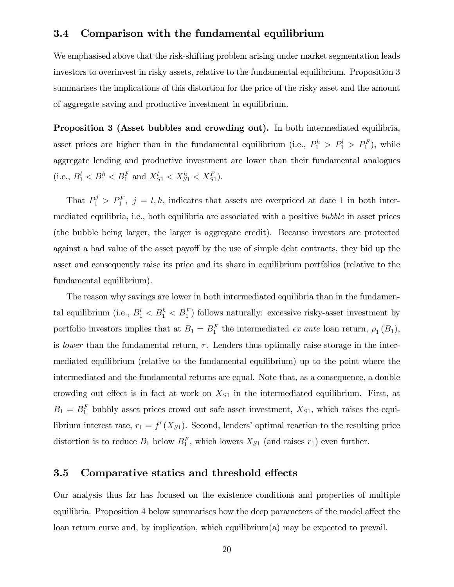### 3.4 Comparison with the fundamental equilibrium

We emphasised above that the risk-shifting problem arising under market segmentation leads investors to overinvest in risky assets, relative to the fundamental equilibrium. Proposition 3 summarises the implications of this distortion for the price of the risky asset and the amount of aggregate saving and productive investment in equilibrium.

Proposition 3 (Asset bubbles and crowding out). In both intermediated equilibria, asset prices are higher than in the fundamental equilibrium (i.e.,  $P_1^h > P_1^l > P_1^F$ ), while aggregate lending and productive investment are lower than their fundamental analogues (i.e.,  $B_1^l < B_1^k < B_1^F$  and  $X_{S1}^l < X_{S1}^k < X_{S1}^F$ ).

That  $P_1^j > P_1^F$ ,  $j = l, h$ , indicates that assets are overpriced at date 1 in both intermediated equilibria, i.e., both equilibria are associated with a positive bubble in asset prices (the bubble being larger, the larger is aggregate credit). Because investors are protected against a bad value of the asset payoff by the use of simple debt contracts, they bid up the asset and consequently raise its price and its share in equilibrium portfolios (relative to the fundamental equilibrium).

The reason why savings are lower in both intermediated equilibria than in the fundamental equilibrium (i.e.,  $B_1^l < B_1^k < B_1^F$ ) follows naturally: excessive risky-asset investment by portfolio investors implies that at  $B_1 = B_1^F$  the intermediated *ex ante* loan return,  $\rho_1(B_1)$ , is lower than the fundamental return,  $\tau$ . Lenders thus optimally raise storage in the intermediated equilibrium (relative to the fundamental equilibrium) up to the point where the intermediated and the fundamental returns are equal. Note that, as a consequence, a double crowding out effect is in fact at work on  $X_{S1}$  in the intermediated equilibrium. First, at  $B_1 = B_1^F$  bubbly asset prices crowd out safe asset investment,  $X_{S_1}$ , which raises the equilibrium interest rate,  $r_1 = f'(X_{S1})$ . Second, lenders' optimal reaction to the resulting price distortion is to reduce  $B_1$  below  $B_1^F$ , which lowers  $X_{S1}$  (and raises  $r_1$ ) even further.

#### 3.5 Comparative statics and threshold effects

Our analysis thus far has focused on the existence conditions and properties of multiple equilibria. Proposition 4 below summarises how the deep parameters of the model affect the loan return curve and, by implication, which equilibrium(a) may be expected to prevail.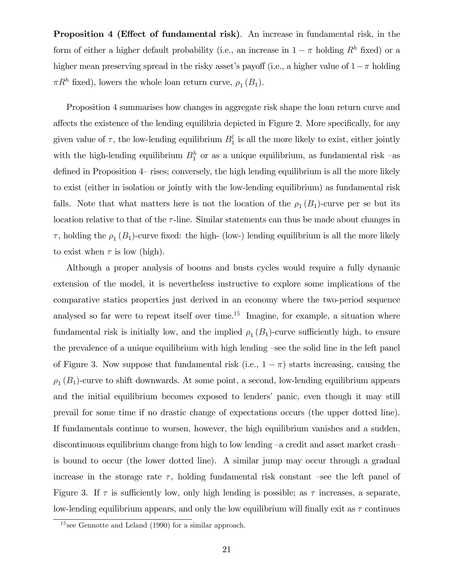**Proposition 4 (Effect of fundamental risk).** An increase in fundamental risk, in the form of either a higher default probability (i.e., an increase in  $1 - \pi$  holding  $R<sup>h</sup>$  fixed) or a higher mean preserving spread in the risky asset's payoff (i.e., a higher value of  $1 - \pi$  holding  $\pi R^h$  fixed), lowers the whole loan return curve,  $\rho_1(B_1)$ .

Proposition 4 summarises how changes in aggregate risk shape the loan return curve and affects the existence of the lending equilibria depicted in Figure 2. More specifically, for any given value of  $\tau$ , the low-lending equilibrium  $B_1^l$  is all the more likely to exist, either jointly with the high-lending equilibrium  $B_1^h$  or as a unique equilibrium, as fundamental risk  $-a$ s defined in Proposition  $4$ -rises; conversely, the high lending equilibrium is all the more likely to exist (either in isolation or jointly with the low-lending equilibrium) as fundamental risk falls. Note that what matters here is not the location of the  $\rho_1(B_1)$ -curve per se but its location relative to that of the  $\tau$ -line. Similar statements can thus be made about changes in  $\tau$ , holding the  $\rho_1(B_1)$ -curve fixed: the high- (low-) lending equilibrium is all the more likely to exist when  $\tau$  is low (high).

Although a proper analysis of booms and busts cycles would require a fully dynamic extension of the model, it is nevertheless instructive to explore some implications of the comparative statics properties just derived in an economy where the two-period sequence analysed so far were to repeat itself over time.<sup>15</sup> Imagine, for example, a situation where fundamental risk is initially low, and the implied  $\rho_1(B_1)$ -curve sufficiently high, to ensure the prevalence of a unique equilibrium with high lending  $\text{-see}$  the solid line in the left panel of Figure 3. Now suppose that fundamental risk (i.e.,  $1 - \pi$ ) starts increasing, causing the  $\rho_1(B_1)$ -curve to shift downwards. At some point, a second, low-lending equilibrium appears and the initial equilibrium becomes exposed to lenders' panic, even though it may still prevail for some time if no drastic change of expectations occurs (the upper dotted line). If fundamentals continue to worsen, however, the high equilibrium vanishes and a sudden, discontinuous equilibrium change from high to low lending  $-a$  credit and asset market crash is bound to occur (the lower dotted line). A similar jump may occur through a gradual increase in the storage rate  $\tau$ , holding fundamental risk constant see the left panel of Figure 3. If  $\tau$  is sufficiently low, only high lending is possible; as  $\tau$  increases, a separate, low-lending equilibrium appears, and only the low equilibrium will finally exit as  $\tau$  continues

<sup>15</sup> see Gennotte and Leland (1990) for a similar approach.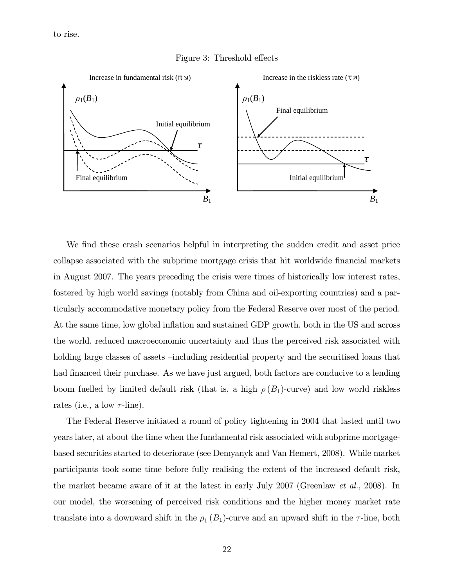



We find these crash scenarios helpful in interpreting the sudden credit and asset price collapse associated with the subprime mortgage crisis that hit worldwide financial markets in August 2007. The years preceding the crisis were times of historically low interest rates, fostered by high world savings (notably from China and oil-exporting countries) and a particularly accommodative monetary policy from the Federal Reserve over most of the period. At the same time, low global inflation and sustained GDP growth, both in the US and across the world, reduced macroeconomic uncertainty and thus the perceived risk associated with holding large classes of assets -including residential property and the securitised loans that had financed their purchase. As we have just argued, both factors are conducive to a lending boom fuelled by limited default risk (that is, a high  $\rho(B_1)$ -curve) and low world riskless rates (i.e., a low  $\tau$ -line).

The Federal Reserve initiated a round of policy tightening in 2004 that lasted until two years later, at about the time when the fundamental risk associated with subprime mortgagebased securities started to deteriorate (see Demyanyk and Van Hemert, 2008). While market participants took some time before fully realising the extent of the increased default risk, the market became aware of it at the latest in early July 2007 (Greenlaw et al., 2008). In our model, the worsening of perceived risk conditions and the higher money market rate translate into a downward shift in the  $\rho_1(B_1)$ -curve and an upward shift in the  $\tau$ -line, both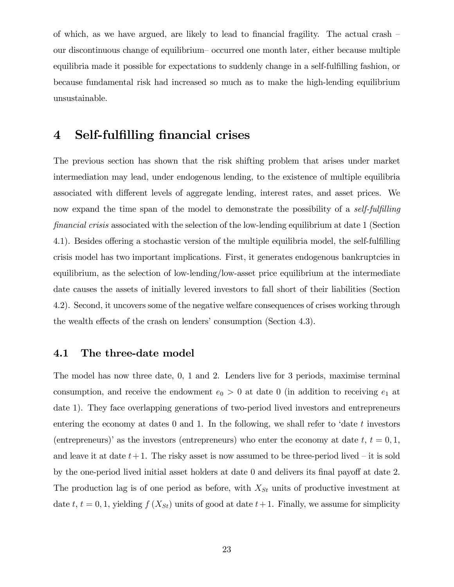of which, as we have argued, are likely to lead to financial fragility. The actual crash  $\sim$ our discontinuous change of equilibrium– occurred one month later, either because multiple equilibria made it possible for expectations to suddenly change in a self-fulfilling fashion, or because fundamental risk had increased so much as to make the high-lending equilibrium unsustainable.

# 4 Self-fulfilling financial crises

The previous section has shown that the risk shifting problem that arises under market intermediation may lead, under endogenous lending, to the existence of multiple equilibria associated with different levels of aggregate lending, interest rates, and asset prices. We now expand the time span of the model to demonstrate the possibility of a self-fulfilling Önancial crisis associated with the selection of the low-lending equilibrium at date 1 (Section 4.1). Besides offering a stochastic version of the multiple equilibria model, the self-fulfilling crisis model has two important implications. First, it generates endogenous bankruptcies in equilibrium, as the selection of low-lending/low-asset price equilibrium at the intermediate date causes the assets of initially levered investors to fall short of their liabilities (Section 4.2). Second, it uncovers some of the negative welfare consequences of crises working through the wealth effects of the crash on lenders' consumption (Section 4.3).

#### 4.1 The three-date model

The model has now three date, 0, 1 and 2. Lenders live for 3 periods, maximise terminal consumption, and receive the endowment  $e_0 > 0$  at date 0 (in addition to receiving  $e_1$  at date 1). They face overlapping generations of two-period lived investors and entrepreneurs entering the economy at dates  $0$  and  $1$ . In the following, we shall refer to 'date t investors (entrepreneurs)' as the investors (entrepreneurs) who enter the economy at date t,  $t = 0, 1$ , and leave it at date  $t + 1$ . The risky asset is now assumed to be three-period lived – it is sold by the one-period lived initial asset holders at date  $0$  and delivers its final payoff at date  $2$ . The production lag is of one period as before, with  $X_{St}$  units of productive investment at date t,  $t = 0, 1$ , yielding  $f(X_{St})$  units of good at date  $t+1$ . Finally, we assume for simplicity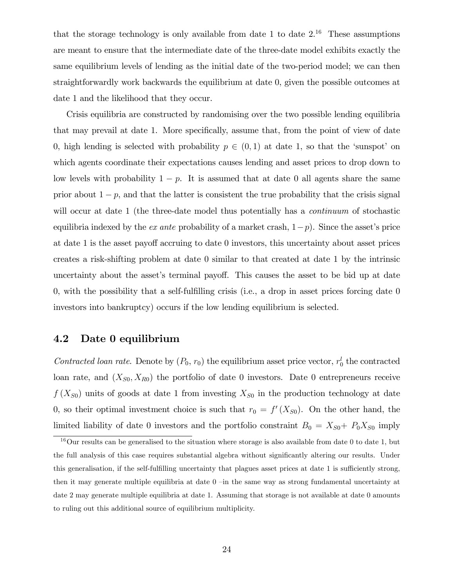that the storage technology is only available from date  $1$  to date  $2^{16}$ . These assumptions are meant to ensure that the intermediate date of the three-date model exhibits exactly the same equilibrium levels of lending as the initial date of the two-period model; we can then straightforwardly work backwards the equilibrium at date 0, given the possible outcomes at date 1 and the likelihood that they occur.

Crisis equilibria are constructed by randomising over the two possible lending equilibria that may prevail at date 1. More specifically, assume that, from the point of view of date 0, high lending is selected with probability  $p \in (0, 1)$  at date 1, so that the 'sunspot' on which agents coordinate their expectations causes lending and asset prices to drop down to low levels with probability  $1 - p$ . It is assumed that at date 0 all agents share the same prior about  $1 - p$ , and that the latter is consistent the true probability that the crisis signal will occur at date 1 (the three-date model thus potentially has a *continuum* of stochastic equilibria indexed by the *ex ante* probability of a market crash,  $1-p$ ). Since the asset's price at date 1 is the asset payoff accruing to date 0 investors, this uncertainty about asset prices creates a risk-shifting problem at date 0 similar to that created at date 1 by the intrinsic uncertainty about the asset's terminal payoff. This causes the asset to be bid up at date 0, with the possibility that a self-fulfilling crisis (i.e., a drop in asset prices forcing date  $0$ investors into bankruptcy) occurs if the low lending equilibrium is selected.

#### 4.2 Date 0 equilibrium

Contracted loan rate. Denote by  $(P_0, r_0)$  the equilibrium asset price vector,  $r_0^l$  the contracted loan rate, and  $(X_{S0}, X_{R0})$  the portfolio of date 0 investors. Date 0 entrepreneurs receive  $f(X_{S0})$  units of goods at date 1 from investing  $X_{S0}$  in the production technology at date 0, so their optimal investment choice is such that  $r_0 = f'(X_{S0})$ . On the other hand, the limited liability of date 0 investors and the portfolio constraint  $B_0 = X_{S0} + P_0 X_{S0}$  imply

 $16$ Our results can be generalised to the situation where storage is also available from date 0 to date 1, but the full analysis of this case requires substantial algebra without significantly altering our results. Under this generalisation, if the self-fulfilling uncertainty that plagues asset prices at date 1 is sufficiently strong, then it may generate multiple equilibria at date  $0$  -in the same way as strong fundamental uncertainty at date 2 may generate multiple equilibria at date 1. Assuming that storage is not available at date 0 amounts to ruling out this additional source of equilibrium multiplicity.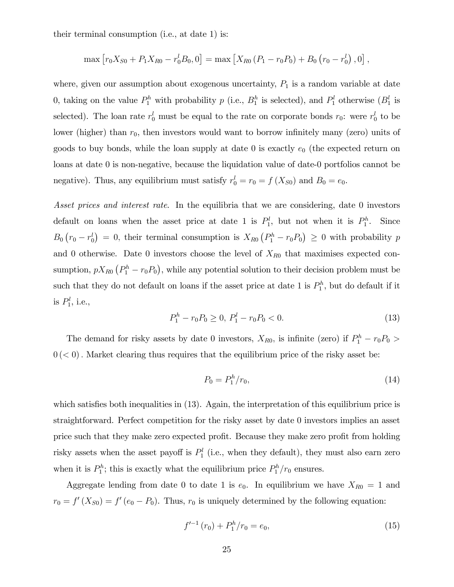their terminal consumption (i.e., at date 1) is:

$$
\max [r_0 X_{S0} + P_1 X_{R0} - r_0^l B_0, 0] = \max [X_{R0} (P_1 - r_0 P_0) + B_0 (r_0 - r_0^l), 0],
$$

where, given our assumption about exogenous uncertainty,  $P_1$  is a random variable at date 0, taking on the value  $P_1^h$  with probability p (i.e.,  $B_1^h$  is selected), and  $P_1^l$  otherwise  $(B_1^l$  is selected). The loan rate  $r_0^l$  must be equal to the rate on corporate bonds  $r_0$ : were  $r_0^l$  to be lower (higher) than  $r_0$ , then investors would want to borrow infinitely many (zero) units of goods to buy bonds, while the loan supply at date 0 is exactly  $e_0$  (the expected return on loans at date 0 is non-negative, because the liquidation value of date-0 portfolios cannot be negative). Thus, any equilibrium must satisfy  $r_0^l = r_0 = f(X_{S0})$  and  $B_0 = e_0$ .

Asset prices and interest rate. In the equilibria that we are considering, date 0 investors default on loans when the asset price at date 1 is  $P_1^l$ , but not when it is  $P_1^h$ . Since  $B_0(r_0 - r_0^l) = 0$ , their terminal consumption is  $X_{R0}(P_1^h - r_0 P_0) \ge 0$  with probability p and 0 otherwise. Date 0 investors choose the level of  $X_{R0}$  that maximises expected consumption,  $pX_{R0} (P_1^h - r_0 P_0)$ , while any potential solution to their decision problem must be such that they do not default on loans if the asset price at date 1 is  $P_1^h$ , but do default if it is  $P_1^l$ , i.e.,

$$
P_1^h - r_0 P_0 \ge 0, \ P_1^l - r_0 P_0 < 0. \tag{13}
$$

The demand for risky assets by date 0 investors,  $X_{R0}$ , is infinite (zero) if  $P_1^h - r_0 P_0 >$  $0 < 0$ . Market clearing thus requires that the equilibrium price of the risky asset be:

$$
P_0 = P_1^h / r_0,\tag{14}
$$

which satisfies both inequalities in  $(13)$ . Again, the interpretation of this equilibrium price is straightforward. Perfect competition for the risky asset by date 0 investors implies an asset price such that they make zero expected profit. Because they make zero profit from holding risky assets when the asset payoff is  $P_1^l$  (i.e., when they default), they must also earn zero when it is  $P_1^h$ ; this is exactly what the equilibrium price  $P_1^h/r_0$  ensures.

Aggregate lending from date 0 to date 1 is  $e_0$ . In equilibrium we have  $X_{R0} = 1$  and  $r_0 = f'(X_{S0}) = f'(e_0 - P_0)$ . Thus,  $r_0$  is uniquely determined by the following equation:

$$
f'^{-1}(r_0) + P_1^h / r_0 = e_0,\t\t(15)
$$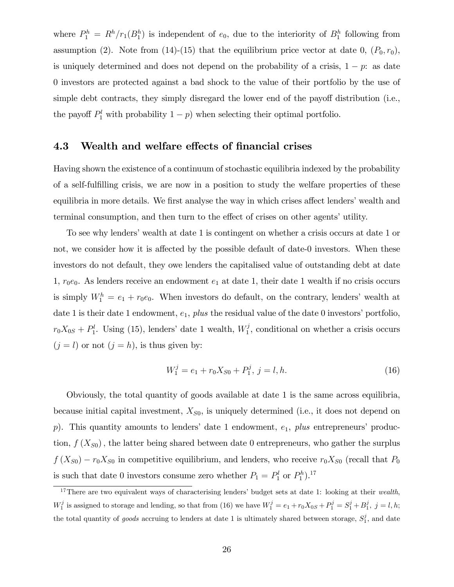where  $P_1^h = R^h / r_1(B_1^h)$  is independent of  $e_0$ , due to the interiority of  $B_1^h$  following from assumption (2). Note from (14)-(15) that the equilibrium price vector at date 0,  $(P_0, r_0)$ , is uniquely determined and does not depend on the probability of a crisis,  $1 - p$ : as date 0 investors are protected against a bad shock to the value of their portfolio by the use of simple debt contracts, they simply disregard the lower end of the payoff distribution (i.e., the payoff  $P_1^l$  with probability  $1 - p$ ) when selecting their optimal portfolio.

#### 4.3 Wealth and welfare effects of financial crises

Having shown the existence of a continuum of stochastic equilibria indexed by the probability of a self-fulfilling crisis, we are now in a position to study the welfare properties of these equilibria in more details. We first analyse the way in which crises affect lenders' wealth and terminal consumption, and then turn to the effect of crises on other agents' utility.

To see why lenders' wealth at date 1 is contingent on whether a crisis occurs at date 1 or not, we consider how it is affected by the possible default of date-0 investors. When these investors do not default, they owe lenders the capitalised value of outstanding debt at date 1,  $r_0e_0$ . As lenders receive an endowment  $e_1$  at date 1, their date 1 wealth if no crisis occurs is simply  $W_1^h = e_1 + r_0 e_0$ . When investors do default, on the contrary, lenders' wealth at date 1 is their date 1 endowment,  $e_1$ , plus the residual value of the date 0 investors' portfolio,  $r_0X_{0S} + P_1^l$ . Using (15), lenders' date 1 wealth,  $W_1^j$  $1<sub>1</sub>$ , conditional on whether a crisis occurs  $(j = l)$  or not  $(j = h)$ , is thus given by:

$$
W_1^j = e_1 + r_0 X_{S0} + P_1^j, \ j = l, h. \tag{16}
$$

Obviously, the total quantity of goods available at date 1 is the same across equilibria, because initial capital investment,  $X_{S0}$ , is uniquely determined (i.e., it does not depend on p). This quantity amounts to lenders' date 1 endowment,  $e_1$ , plus entrepreneurs' production,  $f(X_{S0})$ , the latter being shared between date 0 entrepreneurs, who gather the surplus  $f(X_{S0}) - r_0X_{S0}$  in competitive equilibrium, and lenders, who receive  $r_0X_{S0}$  (recall that  $P_0$ is such that date 0 investors consume zero whether  $P_1 = P_1^l$  or  $P_1^h$ .<sup>17</sup>

 $17$ There are two equivalent ways of characterising lenders' budget sets at date 1: looking at their wealth,  $W_1^j$  is assigned to storage and lending, so that from (16) we have  $W_1^j = e_1 + r_0 X_{0S} + P_1^j = S_1^j + B_1^j$ ,  $j = l, h$ ; the total quantity of *goods* accruing to lenders at date 1 is ultimately shared between storage,  $S_1^j$ , and date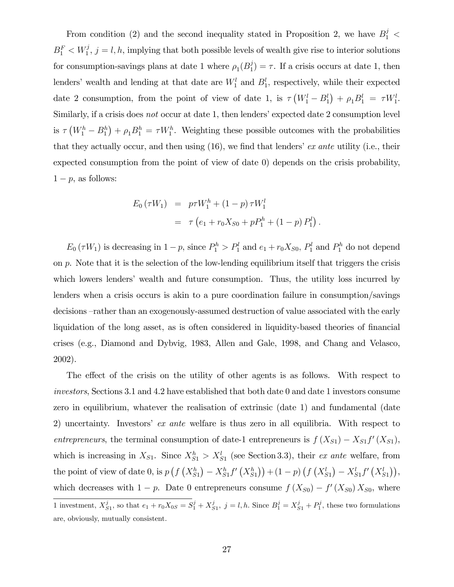From condition (2) and the second inequality stated in Proposition 2, we have  $B_1^j$  <  $B_1^F < W_1^j$ ,  $j = l, h$ , implying that both possible levels of wealth give rise to interior solutions for consumption-savings plans at date 1 where  $\rho_1(B_1^j)$  $\binom{1}{1} = \tau$ . If a crisis occurs at date 1, then lenders' wealth and lending at that date are  $W_1^l$  and  $B_1^l$ , respectively, while their expected date 2 consumption, from the point of view of date 1, is  $\tau(W_1^l - B_1^l) + \rho_1 B_1^l = \tau W_1^l$ . Similarly, if a crisis does not occur at date 1, then lenders' expected date 2 consumption level is  $\tau (W_1^h - B_1^h) + \rho_1 B_1^h = \tau W_1^h$ . Weighting these possible outcomes with the probabilities that they actually occur, and then using  $(16)$ , we find that lenders' ex ante utility (i.e., their expected consumption from the point of view of date 0) depends on the crisis probability,  $1 - p$ , as follows:

$$
E_0 (\tau W_1) = p \tau W_1^h + (1 - p) \tau W_1^l
$$
  
=  $\tau (e_1 + r_0 X_{S0} + p P_1^h + (1 - p) P_1^l).$ 

 $E_0(\tau W_1)$  is decreasing in  $1-p$ , since  $P_1^h > P_1^l$  and  $e_1 + r_0 X_{S_0}$ ,  $P_1^l$  and  $P_1^h$  do not depend on  $p$ . Note that it is the selection of the low-lending equilibrium itself that triggers the crisis which lowers lenders' wealth and future consumption. Thus, the utility loss incurred by lenders when a crisis occurs is akin to a pure coordination failure in consumption/savings decisions – rather than an exogenously-assumed destruction of value associated with the early liquidation of the long asset, as is often considered in liquidity-based theories of financial crises (e.g., Diamond and Dybvig, 1983, Allen and Gale, 1998, and Chang and Velasco, 2002).

The effect of the crisis on the utility of other agents is as follows. With respect to investors, Sections 3.1 and 4.2 have established that both date 0 and date 1 investors consume zero in equilibrium, whatever the realisation of extrinsic (date 1) and fundamental (date 2) uncertainty. Investors'  $ex$  ante welfare is thus zero in all equilibria. With respect to entrepreneurs, the terminal consumption of date-1 entrepreneurs is  $f(X_{S1}) - X_{S1}f'(X_{S1})$ , which is increasing in  $X_{S1}$ . Since  $X_{S1}^h > X_{S1}^l$  (see Section 3.3), their *ex ante* welfare, from the point of view of date 0, is  $p(f(X_{S1}^h) - X_{S1}^h f'(X_{S1}^h)) + (1-p)(f(X_{S1}^l) - X_{S1}^l f'(X_{S1}^l)),$ which decreases with  $1-p$ . Date 0 entrepreneurs consume  $f(X_{S0}) - f'(X_{S0}) X_{S0}$ , where 1 investment,  $X_{S_1}^j$ , so that  $e_1 + r_0 X_{0S} = S_1^j + X_{S_1}^j$ ,  $j = l, h$ . Since  $B_1^j = X_{S_1}^j + P_1^j$ , these two formulations are, obviously, mutually consistent.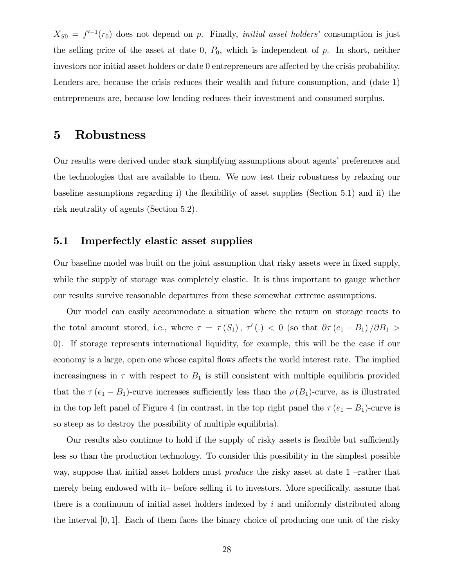$X_{S0} = f^{-1}(r_0)$  does not depend on p. Finally, *initial asset holders*' consumption is just the selling price of the asset at date 0,  $P_0$ , which is independent of p. In short, neither investors nor initial asset holders or date 0 entrepreneurs are affected by the crisis probability. Lenders are, because the crisis reduces their wealth and future consumption, and (date 1) entrepreneurs are, because low lending reduces their investment and consumed surplus.

### 5 Robustness

Our results were derived under stark simplifying assumptions about agents' preferences and the technologies that are available to them. We now test their robustness by relaxing our baseline assumptions regarding i) the flexibility of asset supplies (Section 5.1) and ii) the risk neutrality of agents (Section 5.2).

#### 5.1 Imperfectly elastic asset supplies

Our baseline model was built on the joint assumption that risky assets were in fixed supply, while the supply of storage was completely elastic. It is thus important to gauge whether our results survive reasonable departures from these somewhat extreme assumptions.

Our model can easily accommodate a situation where the return on storage reacts to the total amount stored, i.e., where  $\tau = \tau(S_1)$ ,  $\tau'(.) < 0$  (so that  $\partial \tau (e_1 - B_1) / \partial B_1 >$ 0). If storage represents international liquidity, for example, this will be the case if our economy is a large, open one whose capital flows affects the world interest rate. The implied increasingness in  $\tau$  with respect to  $B_1$  is still consistent with multiple equilibria provided that the  $\tau (e_1 - B_1)$ -curve increases sufficiently less than the  $\rho (B_1)$ -curve, as is illustrated in the top left panel of Figure 4 (in contrast, in the top right panel the  $\tau (e_1 - B_1)$ -curve is so steep as to destroy the possibility of multiple equilibria).

Our results also continue to hold if the supply of risky assets is flexible but sufficiently less so than the production technology. To consider this possibility in the simplest possible way, suppose that initial asset holders must *produce* the risky asset at date  $1$  -rather that merely being endowed with  $it$  before selling it to investors. More specifically, assume that there is a continuum of initial asset holders indexed by  $i$  and uniformly distributed along the interval  $[0, 1]$ . Each of them faces the binary choice of producing one unit of the risky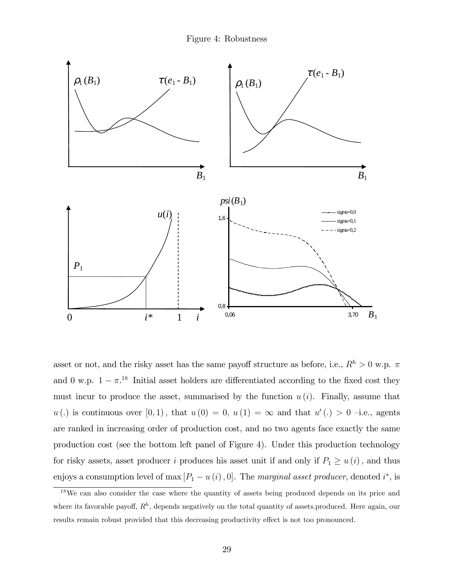Figure 4: Robustness



asset or not, and the risky asset has the same payoff structure as before, i.e.,  $R^h>0$  w.p.  $\pi$ and 0 w.p.  $1 - \pi^{18}$  Initial asset holders are differentiated according to the fixed cost they must incur to produce the asset, summarised by the function  $u(i)$ . Finally, assume that  $u(.)$  is continuous over  $[0,1)$ , that  $u(0) = 0$ ,  $u(1) = \infty$  and that  $u'(.) > 0$  -i.e., agents are ranked in increasing order of production cost, and no two agents face exactly the same production cost (see the bottom left panel of Figure 4). Under this production technology for risky assets, asset producer i produces his asset unit if and only if  $P_1 \geq u(i)$ , and thus enjoys a consumption level of max  $[P_1 - u(i), 0]$ . The *marginal asset producer*, denoted  $i^*$ , is

<sup>&</sup>lt;sup>18</sup>We can also consider the case where the quantity of assets being produced depends on its price and where its favorable payoff,  $R<sup>h</sup>$ , depends negatively on the total quantity of assets.produced. Here again, our results remain robust provided that this decreasing productivity effect is not too pronounced.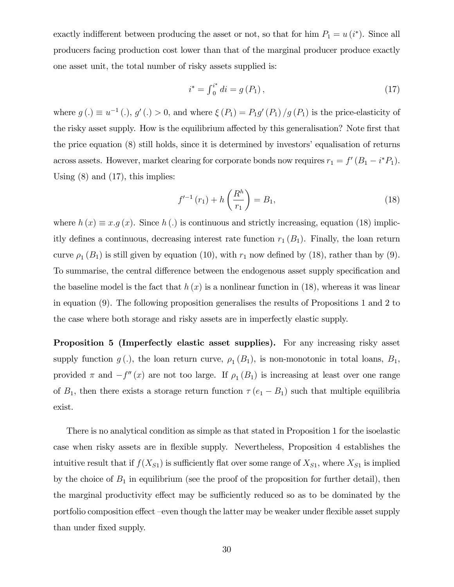exactly indifferent between producing the asset or not, so that for him  $P_1 = u(i^*)$ . Since all producers facing production cost lower than that of the marginal producer produce exactly one asset unit, the total number of risky assets supplied is:

$$
i^* = \int_0^{i^*} di = g(P_1), \qquad (17)
$$

where  $g(.) \equiv u^{-1}(.)$ ,  $g'(.) > 0$ , and where  $\xi(P_1) = P_1 g'(P_1) / g(P_1)$  is the price-elasticity of the risky asset supply. How is the equilibrium affected by this generalisation? Note first that the price equation  $(8)$  still holds, since it is determined by investors' equalisation of returns across assets. However, market clearing for corporate bonds now requires  $r_1 = f'(B_1 - i^*P_1)$ . Using  $(8)$  and  $(17)$ , this implies:

$$
f'^{-1}(r_1) + h\left(\frac{R^h}{r_1}\right) = B_1,
$$
\n(18)

where  $h(x) \equiv x.g(x)$ . Since  $h(.)$  is continuous and strictly increasing, equation (18) implicitly defines a continuous, decreasing interest rate function  $r_1 (B_1)$ . Finally, the loan return curve  $\rho_1(B_1)$  is still given by equation (10), with  $r_1$  now defined by (18), rather than by (9). To summarise, the central difference between the endogenous asset supply specification and the baseline model is the fact that  $h(x)$  is a nonlinear function in (18), whereas it was linear in equation (9). The following proposition generalises the results of Propositions 1 and 2 to the case where both storage and risky assets are in imperfectly elastic supply.

Proposition 5 (Imperfectly elastic asset supplies). For any increasing risky asset supply function  $g(.)$ , the loan return curve,  $\rho_1(B_1)$ , is non-monotonic in total loans,  $B_1$ , provided  $\pi$  and  $-f''(x)$  are not too large. If  $\rho_1(B_1)$  is increasing at least over one range of  $B_1$ , then there exists a storage return function  $\tau (e_1 - B_1)$  such that multiple equilibria exist.

There is no analytical condition as simple as that stated in Proposition 1 for the isoelastic case when risky assets are in áexible supply. Nevertheless, Proposition 4 establishes the intuitive result that if  $f(X_{S1})$  is sufficiently flat over some range of  $X_{S1}$ , where  $X_{S1}$  is implied by the choice of  $B_1$  in equilibrium (see the proof of the proposition for further detail), then the marginal productivity effect may be sufficiently reduced so as to be dominated by the portfolio composition effect –even though the latter may be weaker under flexible asset supply than under fixed supply.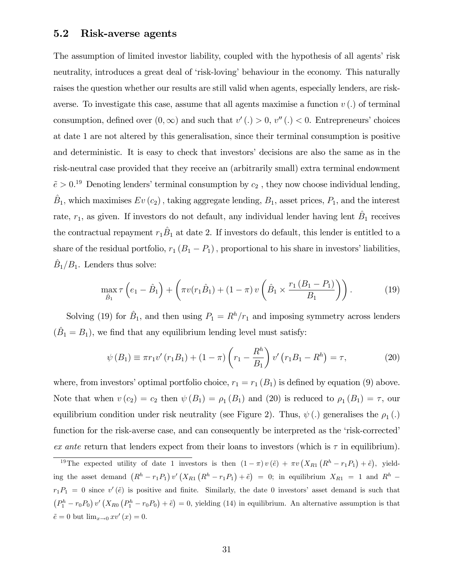#### 5.2 Risk-averse agents

The assumption of limited investor liability, coupled with the hypothesis of all agents' risk neutrality, introduces a great deal of 'risk-loving' behaviour in the economy. This naturally raises the question whether our results are still valid when agents, especially lenders, are riskaverse. To investigate this case, assume that all agents maximise a function  $v(.)$  of terminal consumption, defined over  $(0, \infty)$  and such that  $v'(.) > 0$ ,  $v''(.) < 0$ . Entrepreneurs' choices at date 1 are not altered by this generalisation, since their terminal consumption is positive and deterministic. It is easy to check that investors' decisions are also the same as in the risk-neutral case provided that they receive an (arbitrarily small) extra terminal endowment  $\tilde{e} > 0$ <sup>19</sup> Denoting lenders' terminal consumption by  $c_2$ , they now choose individual lending,  $\hat{B}_1$ , which maximises  $Ev (c_2)$ , taking aggregate lending,  $B_1$ , asset prices,  $P_1$ , and the interest rate,  $r_1$ , as given. If investors do not default, any individual lender having lent  $\hat{B}_1$  receives the contractual repayment  $r_1\hat{B}_1$  at date 2. If investors do default, this lender is entitled to a share of the residual portfolio,  $r_1 (B_1 - P_1)$ , proportional to his share in investors' liabilities,  $\hat{B}_1/B_1$ . Lenders thus solve:

$$
\max_{\hat{B}_1} \tau \left( e_1 - \hat{B}_1 \right) + \left( \pi v (r_1 \hat{B}_1) + (1 - \pi) v \left( \hat{B}_1 \times \frac{r_1 (B_1 - P_1)}{B_1} \right) \right).
$$
 (19)

Solving (19) for  $\hat{B}_1$ , and then using  $P_1 = R^h/r_1$  and imposing symmetry across lenders  $(\hat{B}_1 = B_1)$ , we find that any equilibrium lending level must satisfy:

$$
\psi(B_1) \equiv \pi r_1 v' (r_1 B_1) + (1 - \pi) \left( r_1 - \frac{R^h}{B_1} \right) v' (r_1 B_1 - R^h) = \tau,
$$
\n(20)

where, from investors' optimal portfolio choice,  $r_1 = r_1 (B_1)$  is defined by equation (9) above. Note that when  $v(c_2) = c_2$  then  $\psi(B_1) = \rho_1(B_1)$  and (20) is reduced to  $\rho_1(B_1) = \tau$ , our equilibrium condition under risk neutrality (see Figure 2). Thus,  $\psi(.)$  generalises the  $\rho_1(.)$ function for the risk-averse case, and can consequently be interpreted as the 'risk-corrected' ex ante return that lenders expect from their loans to investors (which is  $\tau$  in equilibrium).

<sup>&</sup>lt;sup>19</sup>The expected utility of date 1 investors is then  $(1 - \pi) v(\tilde{e}) + \pi v (X_{R1} (R^h - r_1 P_1) + \tilde{e}),$  yielding the asset demand  $(R^h - r_1P_1)v' (X_{R1} (R^h - r_1P_1) + \tilde{e}) = 0$ ; in equilibrium  $X_{R1} = 1$  and  $R^h$   $r_1P_1 = 0$  since  $v'(\tilde{e})$  is positive and finite. Similarly, the date 0 investors' asset demand is such that  $(P_1^h - r_0 P_0) v' (X_{R0} (P_1^h - r_0 P_0) + \tilde{e}) = 0$ , yielding (14) in equilibrium. An alternative assumption is that  $\tilde{e} = 0$  but  $\lim_{x \to 0} xv'(x) = 0.$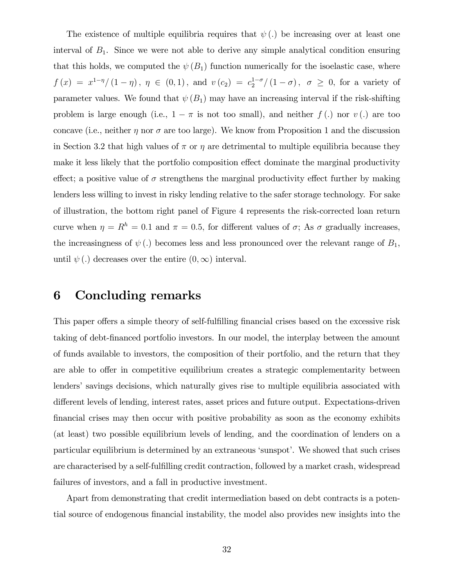The existence of multiple equilibria requires that  $\psi(.)$  be increasing over at least one interval of  $B_1$ . Since we were not able to derive any simple analytical condition ensuring that this holds, we computed the  $\psi(B_1)$  function numerically for the isoelastic case, where  $f(x) = x^{1-\eta}/(1-\eta)$ ,  $\eta \in (0,1)$ , and  $v(c_2) = c_2^{1-\sigma}/(1-\sigma)$ ,  $\sigma \ge 0$ , for a variety of parameter values. We found that  $\psi(B_1)$  may have an increasing interval if the risk-shifting problem is large enough (i.e.,  $1 - \pi$  is not too small), and neither  $f(.)$  nor  $v(.)$  are too concave (i.e., neither  $\eta$  nor  $\sigma$  are too large). We know from Proposition 1 and the discussion in Section 3.2 that high values of  $\pi$  or  $\eta$  are detrimental to multiple equilibria because they make it less likely that the portfolio composition effect dominate the marginal productivity effect; a positive value of  $\sigma$  strengthens the marginal productivity effect further by making lenders less willing to invest in risky lending relative to the safer storage technology. For sake of illustration, the bottom right panel of Figure 4 represents the risk-corrected loan return curve when  $\eta = R^h = 0.1$  and  $\pi = 0.5$ , for different values of  $\sigma$ ; As  $\sigma$  gradually increases, the increasingness of  $\psi$  (.) becomes less and less pronounced over the relevant range of  $B_1$ , until  $\psi(.)$  decreases over the entire  $(0,\infty)$  interval.

### 6 Concluding remarks

This paper offers a simple theory of self-fulfilling financial crises based on the excessive risk taking of debt-financed portfolio investors. In our model, the interplay between the amount of funds available to investors, the composition of their portfolio, and the return that they are able to offer in competitive equilibrium creates a strategic complementarity between lendersí savings decisions, which naturally gives rise to multiple equilibria associated with different levels of lending, interest rates, asset prices and future output. Expectations-driven Önancial crises may then occur with positive probability as soon as the economy exhibits (at least) two possible equilibrium levels of lending, and the coordination of lenders on a particular equilibrium is determined by an extraneous 'sunspot'. We showed that such crises are characterised by a self-fulfilling credit contraction, followed by a market crash, widespread failures of investors, and a fall in productive investment.

Apart from demonstrating that credit intermediation based on debt contracts is a potential source of endogenous financial instability, the model also provides new insights into the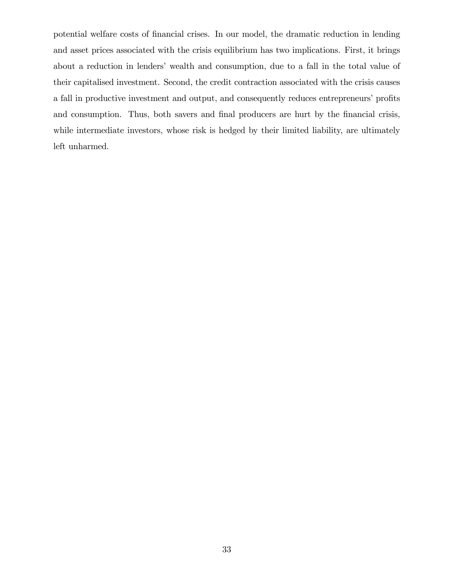potential welfare costs of financial crises. In our model, the dramatic reduction in lending and asset prices associated with the crisis equilibrium has two implications. First, it brings about a reduction in lenders' wealth and consumption, due to a fall in the total value of their capitalised investment. Second, the credit contraction associated with the crisis causes a fall in productive investment and output, and consequently reduces entrepreneurs' profits and consumption. Thus, both savers and final producers are hurt by the financial crisis, while intermediate investors, whose risk is hedged by their limited liability, are ultimately left unharmed.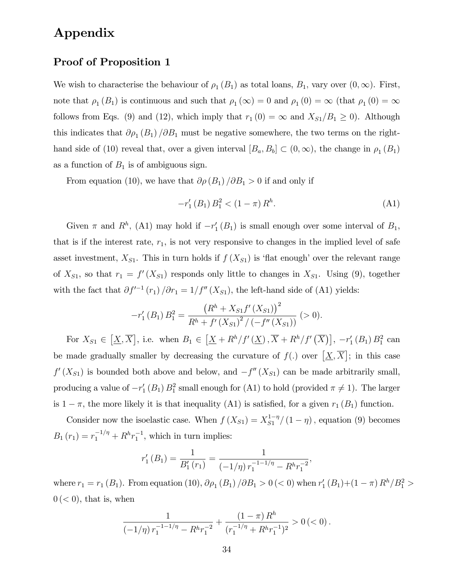# Appendix

### Proof of Proposition 1

We wish to characterise the behaviour of  $\rho_1(B_1)$  as total loans,  $B_1$ , vary over  $(0, \infty)$ . First, note that  $\rho_1(B_1)$  is continuous and such that  $\rho_1(\infty) = 0$  and  $\rho_1(0) = \infty$  (that  $\rho_1(0) = \infty$ follows from Eqs. (9) and (12), which imply that  $r_1(0) = \infty$  and  $X_{S1}/B_1 \ge 0$ . Although this indicates that  $\partial \rho_1 (B_1) / \partial B_1$  must be negative somewhere, the two terms on the righthand side of (10) reveal that, over a given interval  $[B_a, B_b] \subset (0, \infty)$ , the change in  $\rho_1(B_1)$ as a function of  $B_1$  is of ambiguous sign.

From equation (10), we have that  $\partial \rho (B_1) / \partial B_1 > 0$  if and only if

$$
-r'_1(B_1)B_1^2 < (1 - \pi)R^h.
$$
 (A1)

Given  $\pi$  and  $R^h$ , (A1) may hold if  $-r'_1(B_1)$  is small enough over some interval of  $B_1$ , that is if the interest rate,  $r_1$ , is not very responsive to changes in the implied level of safe asset investment,  $X_{S1}$ . This in turn holds if  $f(X_{S1})$  is 'flat enough' over the relevant range of  $X_{S_1}$ , so that  $r_1 = f'(X_{S_1})$  responds only little to changes in  $X_{S_1}$ . Using (9), together with the fact that  $\partial f'^{-1}(r_1)/\partial r_1 = 1/f''(X_{S_1})$ , the left-hand side of (A1) yields:

$$
-r'_1(B_1) B_1^2 = \frac{\left(R^h + X_{S1}f'(X_{S1})\right)^2}{R^h + f'(X_{S1})^2 / \left(-f''(X_{S1})\right)} \; (> 0).
$$

For  $X_{S1} \in [\underline{X}, \overline{X}]$ , i.e. when  $B_1 \in [\underline{X} + R^h / f'(\underline{X}), \overline{X} + R^h / f'(\overline{X})]$ ,  $-r'_1(B_1) B_1^2$  can be made gradually smaller by decreasing the curvature of  $f(.)$  over  $[\underline{X}, \overline{X}]$ ; in this case  $f'(X_{S1})$  is bounded both above and below, and  $-f''(X_{S1})$  can be made arbitrarily small, producing a value of  $-r'_1(B_1) B_1^2$  small enough for (A1) to hold (provided  $\pi \neq 1$ ). The larger is  $1 - \pi$ , the more likely it is that inequality (A1) is satisfied, for a given  $r_1 (B_1)$  function.

Consider now the isoelastic case. When  $f(X_{S1}) = X_{S1}^{1-\eta}/(1-\eta)$ , equation (9) becomes  $B_1(r_1) = r_1^{-1/\eta} + R^h r_1^{-1}$ , which in turn implies:

$$
r'_1(B_1) = \frac{1}{B'_1(r_1)} = \frac{1}{(-1/\eta) r_1^{-1-1/\eta} - R^h r_1^{-2}},
$$

where  $r_1 = r_1 (B_1)$ . From equation (10),  $\partial \rho_1 (B_1) / \partial B_1 > 0$  (< 0) when  $r'_1 (B_1) + (1 - \pi) R^h / B_1^2 >$  $0 \, (< 0)$ , that is, when

$$
\frac{1}{(-1/\eta) r_1^{-1-1/\eta} - R^h r_1^{-2}} + \frac{(1-\pi) R^h}{(r_1^{-1/\eta} + R^h r_1^{-1})^2} > 0 \, (<0).
$$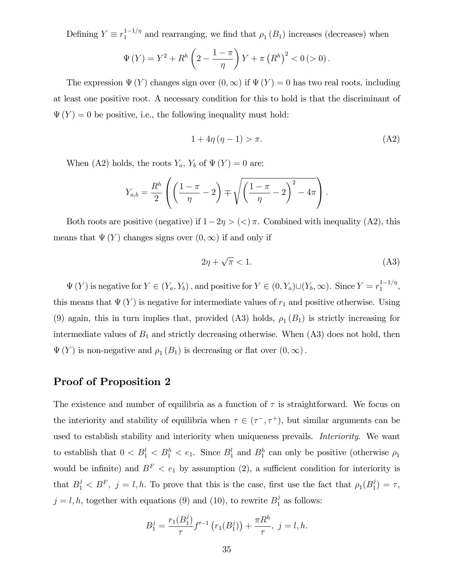Defining  $Y \equiv r_1^{1-1/\eta}$  and rearranging, we find that  $\rho_1(B_1)$  increases (decreases) when

$$
\Psi(Y) = Y^{2} + R^{h} \left( 2 - \frac{1 - \pi}{\eta} \right) Y + \pi \left( R^{h} \right)^{2} < 0 \left( > 0 \right).
$$

The expression  $\Psi(Y)$  changes sign over  $(0,\infty)$  if  $\Psi(Y) = 0$  has two real roots, including at least one positive root. A necessary condition for this to hold is that the discriminant of  $\Psi(Y) = 0$  be positive, i.e., the following inequality must hold:

$$
1 + 4\eta \left( \eta - 1 \right) > \pi. \tag{A2}
$$

When (A2) holds, the roots  $Y_a$ ,  $Y_b$  of  $\Psi(Y) = 0$  are:

$$
Y_{a,b} = \frac{R^h}{2} \left( \left( \frac{1-\pi}{\eta} - 2 \right) \mp \sqrt{\left( \frac{1-\pi}{\eta} - 2 \right)^2 - 4\pi} \right).
$$

Both roots are positive (negative) if  $1-2\eta > (<) \pi$ . Combined with inequality (A2), this means that  $\Psi(Y)$  changes signs over  $(0,\infty)$  if and only if

$$
2\eta + \sqrt{\pi} < 1. \tag{A3}
$$

 $\Psi(Y)$  is negative for  $Y \in (Y_a, Y_b)$ , and positive for  $Y \in (0, Y_a)\cup (Y_b, \infty)$ . Since  $Y = r_1^{1-1/\eta}$ , this means that  $\Psi(Y)$  is negative for intermediate values of  $r_1$  and positive otherwise. Using (9) again, this in turn implies that, provided (A3) holds,  $\rho_1(B_1)$  is strictly increasing for intermediate values of  $B_1$  and strictly decreasing otherwise. When  $(A3)$  does not hold, then  $\Psi(Y)$  is non-negative and  $\rho_1(B_1)$  is decreasing or flat over  $(0,\infty)$ .

### Proof of Proposition 2

The existence and number of equilibria as a function of  $\tau$  is straightforward. We focus on the interiority and stability of equilibria when  $\tau \in (\tau^-, \tau^+)$ , but similar arguments can be used to establish stability and interiority when uniqueness prevails. Interiority. We want to establish that  $0 < B_1^l < B_1^h < e_1$ . Since  $B_1^l$  and  $B_1^h$  can only be positive (otherwise  $\rho_1$ would be infinite) and  $B<sup>F</sup> < e<sub>1</sub>$  by assumption (2), a sufficient condition for interiority is that  $B_1^j < B^F$ ,  $j = l, h$ . To prove that this is the case, first use the fact that  $\rho_1(B_1^j)$  $j_1^j$  =  $\tau$ ,  $j = l, h$ , together with equations (9) and (10), to rewrite  $B_1^j$  as follows:

$$
B_1^j = \frac{r_1(B_1^j)}{\tau} f'^{-1} (r_1(B_1^j)) + \frac{\pi R^h}{\tau}, \ j = l, h.
$$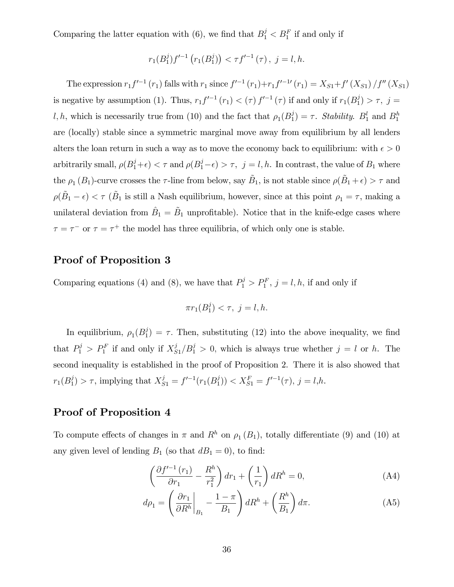Comparing the latter equation with (6), we find that  $B_1^j < B_1^F$  if and only if

$$
r_1(B_1^j)f'^{-1}(r_1(B_1^j)) < \tau f'^{-1}(\tau), \ j = l, h.
$$

The expression  $r_1 f'^{-1}(r_1)$  falls with  $r_1$  since  $f'^{-1}(r_1)+r_1f'^{-1}(r_1)=X_{S1}+f'(X_{S1})/f''(X_{S1})$ is negative by assumption (1). Thus,  $r_1 f'^{-1}(r_1) < (\tau) f'^{-1}(\tau)$  if and only if  $r_1(B_1^j)$  $j_1^j$  >  $\tau$ ,  $j =$ l, h, which is necessarily true from (10) and the fact that  $\rho_1(B_1^j)$  $j(1) = \tau$ . Stability.  $B_1^l$  and  $B_1^h$ are (locally) stable since a symmetric marginal move away from equilibrium by all lenders alters the loan return in such a way as to move the economy back to equilibrium: with  $\epsilon > 0$ arbitrarily small,  $\rho(B_1^j + \epsilon) < \tau$  and  $\rho(B_1^j - \epsilon) > \tau$ ,  $j = l, h$ . In contrast, the value of  $B_1$  where the  $\rho_1(B_1)$ -curve crosses the  $\tau$ -line from below, say  $\tilde{B}_1$ , is not stable since  $\rho(\tilde{B}_1 + \epsilon) > \tau$  and  $\rho(\tilde{B}_1 - \epsilon) < \tau$  ( $\tilde{B}_1$  is still a Nash equilibrium, however, since at this point  $\rho_1 = \tau$ , making a unilateral deviation from  $\hat{B}_1 = \tilde{B}_1$  unprofitable). Notice that in the knife-edge cases where  $\tau = \tau^-$  or  $\tau = \tau^+$  the model has three equilibria, of which only one is stable.

### Proof of Proposition 3

Comparing equations (4) and (8), we have that  $P_1^j > P_1^F$ ,  $j = l, h$ , if and only if

$$
\pi r_1(B_1^j) < \tau, \ j = l, h.
$$

In equilibrium,  $\rho_1(B_1^j)$  $\sigma_1^{\jmath}$  =  $\tau$ . Then, substituting (12) into the above inequality, we find that  $P_1^j > P_1^F$  if and only if  $X_S^j$  $\frac{j}{S1}/B_1^j > 0$ , which is always true whether  $j = l$  or h. The second inequality is established in the proof of Proposition 2. There it is also showed that  $r_1(B_1^j$  $j(1) > \tau$ , implying that  $X_{S1}^j = f^{-1}(r_1(B_1^j))$  $\binom{j}{1}$  <  $X_{S1}^F = f'^{-1}(\tau), j = l,h.$ 

### Proof of Proposition 4

To compute effects of changes in  $\pi$  and  $R^h$  on  $\rho_1(B_1)$ , totally differentiate (9) and (10) at any given level of lending  $B_1$  (so that  $dB_1 = 0$ ), to find:

$$
\left(\frac{\partial f'^{-1}(r_1)}{\partial r_1} - \frac{R^h}{r_1^2}\right) dr_1 + \left(\frac{1}{r_1}\right) dR^h = 0,
$$
\n(A4)

$$
d\rho_1 = \left(\frac{\partial r_1}{\partial R^h}\bigg|_{B_1} - \frac{1-\pi}{B_1}\right) dR^h + \left(\frac{R^h}{B_1}\right) d\pi.
$$
 (A5)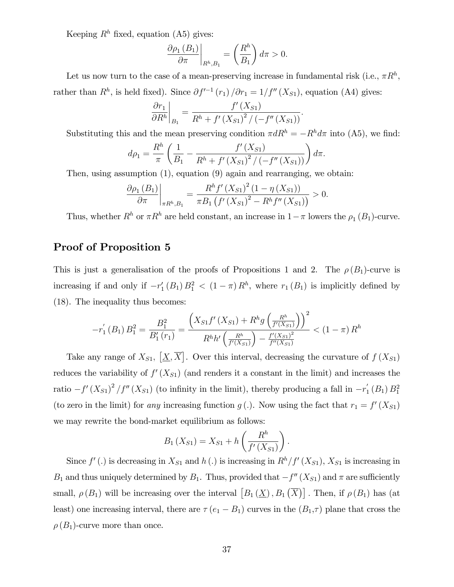Keeping  $R^h$  fixed, equation (A5) gives:

$$
\frac{\partial \rho_1(B_1)}{\partial \pi} \bigg|_{R^h, B_1} = \left(\frac{R^h}{B_1}\right) d\pi > 0.
$$

Let us now turn to the case of a mean-preserving increase in fundamental risk (i.e.,  $\pi R^h$ , rather than  $R^h$ , is held fixed). Since  $\partial f'^{-1}(r_1)/\partial r_1 = 1/f''(X_{S1})$ , equation (A4) gives:

$$
\left. \frac{\partial r_1}{\partial R^h} \right|_{B_1} = \frac{f'(X_{S1})}{R^h + f'(X_{S1})^2 / (-f''(X_{S1}))}.
$$

Substituting this and the mean preserving condition  $\pi dR^h = -R^h d\pi$  into (A5), we find:

$$
d\rho_1 = \frac{R^h}{\pi} \left( \frac{1}{B_1} - \frac{f'(X_{S1})}{R^h + f'(X_{S1})^2 / (-f''(X_{S1}))} \right) d\pi.
$$

Then, using assumption (1), equation (9) again and rearranging, we obtain:

$$
\frac{\partial \rho_1(B_1)}{\partial \pi}\bigg|_{\pi R^h, B_1} = \frac{R^h f'(X_{S1})^2 (1 - \eta(X_{S1}))}{\pi B_1 (f'(X_{S1})^2 - R^h f''(X_{S1}))} > 0.
$$

Thus, whether  $R^h$  or  $\pi R^h$  are held constant, an increase in  $1 - \pi$  lowers the  $\rho_1(B_1)$ -curve.

#### Proof of Proposition 5

This is just a generalisation of the proofs of Propositions 1 and 2. The  $\rho(B_1)$ -curve is increasing if and only if  $-r'_1(B_1)B_1^2 < (1 - \pi)R^h$ , where  $r_1(B_1)$  is implicitly defined by (18). The inequality thus becomes:

$$
-r'_1(B_1) B_1^2 = \frac{B_1^2}{B'_1(r_1)} = \frac{\left(X_{S1}f'(X_{S1}) + R^h g\left(\frac{R^h}{f'(X_{S1})}\right)\right)^2}{R^h h'\left(\frac{R^h}{f'(X_{S1})}\right) - \frac{f'(X_{S1})^2}{f''(X_{S1})}} < (1 - \pi) R^h
$$

Take any range of  $X_{S1}$ ,  $[\underline{X}, \overline{X}]$ . Over this interval, decreasing the curvature of  $f(X_{S1})$ reduces the variability of  $f'(X_{S1})$  (and renders it a constant in the limit) and increases the ratio  $-f'(X_{S1})^2/f''(X_{S1})$  (to infinity in the limit), thereby producing a fall in  $-r'_1(B_1)B_1^2$ (to zero in the limit) for any increasing function  $g(.)$ . Now using the fact that  $r_1 = f'(X_{S1})$ we may rewrite the bond-market equilibrium as follows:

$$
B_1(X_{S1}) = X_{S1} + h\left(\frac{R^h}{f'(X_{S1})}\right).
$$

Since  $f'(.)$  is decreasing in  $X_{S1}$  and h(.) is increasing in  $R^h/f'(X_{S1})$ ,  $X_{S1}$  is increasing in  $B_1$  and thus uniquely determined by  $B_1$ . Thus, provided that  $-f''(X_{S1})$  and  $\pi$  are sufficiently small,  $\rho(B_1)$  will be increasing over the interval  $[B_1(\underline{X}), B_1(\overline{X})]$ . Then, if  $\rho(B_1)$  has (at least) one increasing interval, there are  $\tau (e_1 - B_1)$  curves in the  $(B_1, \tau)$  plane that cross the  $\rho(B_1)$ -curve more than once.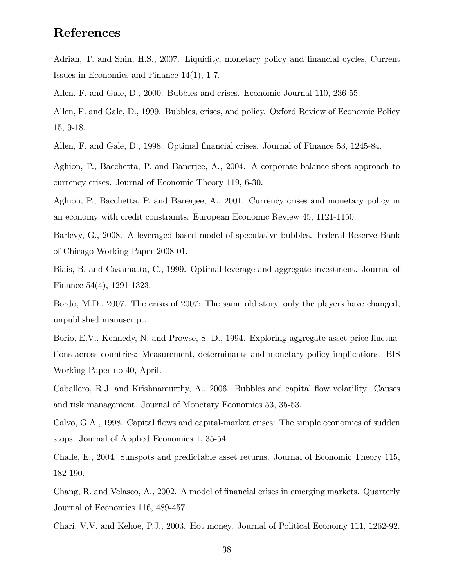# References

Adrian, T. and Shin, H.S., 2007. Liquidity, monetary policy and financial cycles, Current Issues in Economics and Finance 14(1), 1-7.

Allen, F. and Gale, D., 2000. Bubbles and crises. Economic Journal 110, 236-55.

Allen, F. and Gale, D., 1999. Bubbles, crises, and policy. Oxford Review of Economic Policy 15, 9-18.

Allen, F. and Gale, D., 1998. Optimal financial crises. Journal of Finance 53, 1245-84.

Aghion, P., Bacchetta, P. and Banerjee, A., 2004. A corporate balance-sheet approach to currency crises. Journal of Economic Theory 119, 6-30.

Aghion, P., Bacchetta, P. and Banerjee, A., 2001. Currency crises and monetary policy in an economy with credit constraints. European Economic Review 45, 1121-1150.

Barlevy, G., 2008. A leveraged-based model of speculative bubbles. Federal Reserve Bank of Chicago Working Paper 2008-01.

Biais, B. and Casamatta, C., 1999. Optimal leverage and aggregate investment. Journal of Finance 54(4), 1291-1323.

Bordo, M.D., 2007. The crisis of 2007: The same old story, only the players have changed, unpublished manuscript.

Borio, E.V., Kennedy, N. and Prowse, S. D., 1994. Exploring aggregate asset price fluctuations across countries: Measurement, determinants and monetary policy implications. BIS Working Paper no 40, April.

Caballero, R.J. and Krishnamurthy, A., 2006. Bubbles and capital áow volatility: Causes and risk management. Journal of Monetary Economics 53, 35-53.

Calvo, G.A., 1998. Capital flows and capital-market crises: The simple economics of sudden stops. Journal of Applied Economics 1, 35-54.

Challe, E., 2004. Sunspots and predictable asset returns. Journal of Economic Theory 115, 182-190.

Chang, R. and Velasco, A., 2002. A model of Önancial crises in emerging markets. Quarterly Journal of Economics 116, 489-457.

Chari, V.V. and Kehoe, P.J., 2003. Hot money. Journal of Political Economy 111, 1262-92.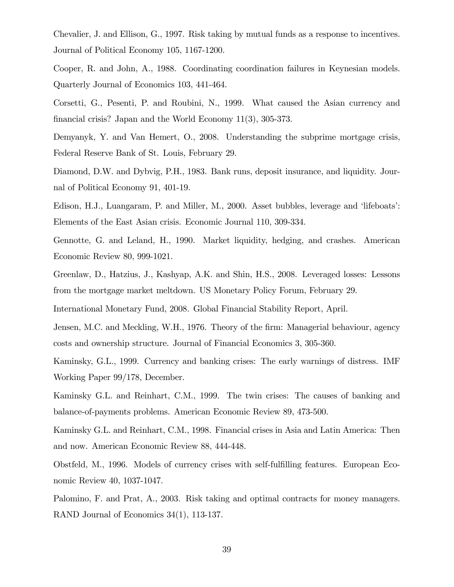Chevalier, J. and Ellison, G., 1997. Risk taking by mutual funds as a response to incentives. Journal of Political Economy 105, 1167-1200.

Cooper, R. and John, A., 1988. Coordinating coordination failures in Keynesian models. Quarterly Journal of Economics 103, 441-464.

Corsetti, G., Pesenti, P. and Roubini, N., 1999. What caused the Asian currency and financial crisis? Japan and the World Economy  $11(3)$ ,  $305-373$ .

Demyanyk, Y. and Van Hemert, O., 2008. Understanding the subprime mortgage crisis, Federal Reserve Bank of St. Louis, February 29.

Diamond, D.W. and Dybvig, P.H., 1983. Bank runs, deposit insurance, and liquidity. Journal of Political Economy 91, 401-19.

Edison, H.J., Luangaram, P. and Miller, M., 2000. Asset bubbles, leverage and 'lifeboats': Elements of the East Asian crisis. Economic Journal 110, 309-334.

Gennotte, G. and Leland, H., 1990. Market liquidity, hedging, and crashes. American Economic Review 80, 999-1021.

Greenlaw, D., Hatzius, J., Kashyap, A.K. and Shin, H.S., 2008. Leveraged losses: Lessons from the mortgage market meltdown. US Monetary Policy Forum, February 29.

International Monetary Fund, 2008. Global Financial Stability Report, April.

Jensen, M.C. and Meckling, W.H., 1976. Theory of the firm: Managerial behaviour, agency costs and ownership structure. Journal of Financial Economics 3, 305-360.

Kaminsky, G.L., 1999. Currency and banking crises: The early warnings of distress. IMF Working Paper 99/178, December.

Kaminsky G.L. and Reinhart, C.M., 1999. The twin crises: The causes of banking and balance-of-payments problems. American Economic Review 89, 473-500.

Kaminsky G.L. and Reinhart, C.M., 1998. Financial crises in Asia and Latin America: Then and now. American Economic Review 88, 444-448.

Obstfeld, M., 1996. Models of currency crises with self-fulfilling features. European Economic Review 40, 1037-1047.

Palomino, F. and Prat, A., 2003. Risk taking and optimal contracts for money managers. RAND Journal of Economics 34(1), 113-137.